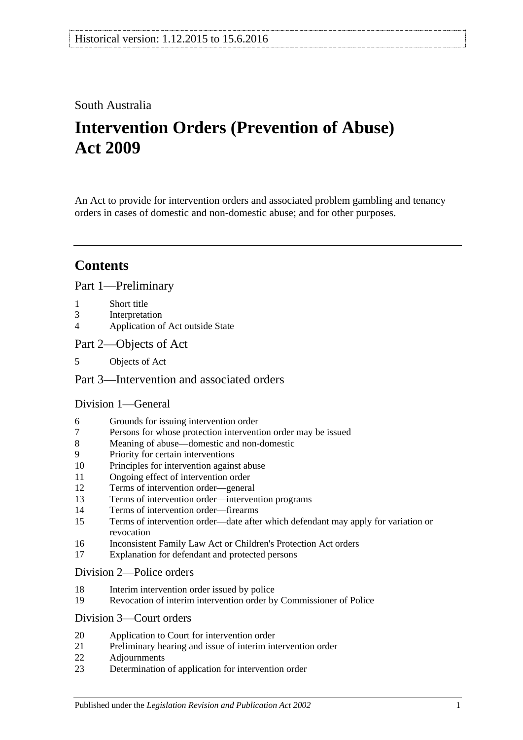## South Australia

# **Intervention Orders (Prevention of Abuse) Act 2009**

An Act to provide for intervention orders and associated problem gambling and tenancy orders in cases of domestic and non-domestic abuse; and for other purposes.

# **Contents**

[Part 1—Preliminary](#page-2-0)

- 1 [Short title](#page-2-1)
- 3 [Interpretation](#page-2-2)
- 4 [Application of Act outside State](#page-4-0)
- [Part 2—Objects of Act](#page-4-1)
- 5 [Objects of Act](#page-4-2)

### [Part 3—Intervention and associated orders](#page-5-0)

## [Division 1—General](#page-5-1)

- 6 [Grounds for issuing intervention order](#page-5-2)
- 7 [Persons for whose protection intervention order may be issued](#page-5-3)
- 8 [Meaning of abuse—domestic and non-domestic](#page-5-4)
- 9 [Priority for certain interventions](#page-8-0)
- 10 [Principles for intervention against abuse](#page-8-1)
- 11 [Ongoing effect of intervention order](#page-10-0)
- 12 [Terms of intervention order—general](#page-10-1)
- 13 [Terms of intervention order—intervention programs](#page-11-0)
- 14 [Terms of intervention order—firearms](#page-12-0)
- 15 [Terms of intervention order—date after which defendant may apply for variation or](#page-12-1)  [revocation](#page-12-1)
- 16 [Inconsistent Family Law Act or Children's Protection Act orders](#page-12-2)
- 17 [Explanation for defendant and protected persons](#page-13-0)

#### [Division 2—Police orders](#page-13-1)

- 18 [Interim intervention order issued by police](#page-13-2)
- 19 [Revocation of interim intervention order by Commissioner of Police](#page-14-0)

### [Division 3—Court orders](#page-14-1)

- 20 [Application to Court for intervention order](#page-14-2)
- 21 [Preliminary hearing and issue of interim intervention order](#page-15-0)
- 22 [Adjournments](#page-17-0)
- 23 [Determination of application for intervention order](#page-17-1)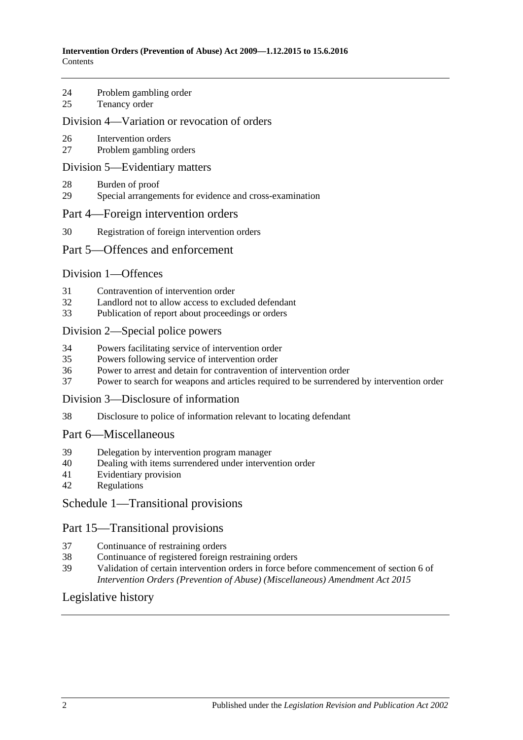- 24 [Problem gambling order](#page-19-0)
- 25 [Tenancy order](#page-19-1)

#### [Division 4—Variation or revocation of orders](#page-21-0)

- 26 [Intervention orders](#page-21-1)
- 27 [Problem gambling orders](#page-22-0)

#### [Division 5—Evidentiary matters](#page-23-0)

- 28 [Burden of proof](#page-23-1)
- 29 [Special arrangements for evidence and cross-examination](#page-23-2)

#### [Part 4—Foreign intervention orders](#page-24-0)

30 [Registration of foreign intervention orders](#page-24-1)

#### [Part 5—Offences and enforcement](#page-24-2)

#### [Division 1—Offences](#page-24-3)

- 31 [Contravention of intervention order](#page-24-4)
- 32 [Landlord not to allow access to excluded defendant](#page-25-0)<br>33 Publication of report about proceedings or orders
- [Publication of report about proceedings or orders](#page-25-1)

#### [Division 2—Special police powers](#page-25-2)

- 34 [Powers facilitating service of intervention order](#page-25-3)
- 35 [Powers following service of intervention order](#page-27-0)
- 36 [Power to arrest and detain for contravention of intervention order](#page-27-1)
- 37 [Power to search for weapons and articles required to be surrendered by intervention order](#page-27-2)

#### [Division 3—Disclosure of information](#page-27-3)

38 [Disclosure to police of information relevant to locating defendant](#page-27-4)

#### [Part 6—Miscellaneous](#page-28-0)

- 39 [Delegation by intervention program manager](#page-28-1)
- 40 [Dealing with items surrendered under intervention order](#page-28-2)
- 41 [Evidentiary provision](#page-28-3)
- 42 [Regulations](#page-28-4)

#### [Schedule 1—Transitional provisions](#page-28-5)

#### Part 15—Transitional provisions

- 37 [Continuance of restraining orders](#page-28-6)
- 38 [Continuance of registered foreign restraining orders](#page-29-0)
- 39 [Validation of certain intervention orders in force before commencement of section](#page-29-1) 6 of *[Intervention Orders \(Prevention of Abuse\) \(Miscellaneous\) Amendment Act](#page-29-1) 2015*

#### [Legislative history](#page-30-0)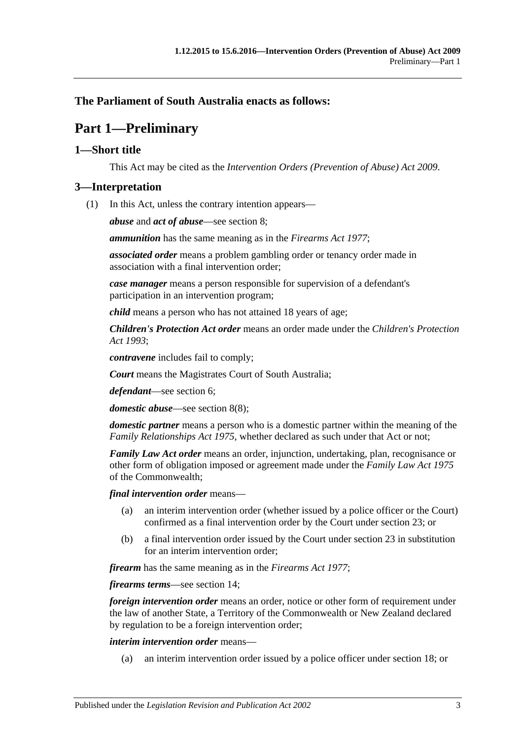## <span id="page-2-0"></span>**The Parliament of South Australia enacts as follows:**

# **Part 1—Preliminary**

### <span id="page-2-1"></span>**1—Short title**

This Act may be cited as the *Intervention Orders (Prevention of Abuse) Act 2009*.

#### <span id="page-2-2"></span>**3—Interpretation**

(1) In this Act, unless the contrary intention appears—

*abuse* and *act of abuse*—see [section](#page-5-4) 8;

*ammunition* has the same meaning as in the *[Firearms Act](http://www.legislation.sa.gov.au/index.aspx?action=legref&type=act&legtitle=Firearms%20Act%201977) 1977*;

*associated order* means a problem gambling order or tenancy order made in association with a final intervention order;

*case manager* means a person responsible for supervision of a defendant's participation in an intervention program;

*child* means a person who has not attained 18 years of age;

*Children's Protection Act order* means an order made under the *[Children's Protection](http://www.legislation.sa.gov.au/index.aspx?action=legref&type=act&legtitle=Childrens%20Protection%20Act%201993)  Act [1993](http://www.legislation.sa.gov.au/index.aspx?action=legref&type=act&legtitle=Childrens%20Protection%20Act%201993)*;

*contravene* includes fail to comply;

*Court* means the Magistrates Court of South Australia;

*defendant*—see [section](#page-5-2) 6;

*domestic abuse*—see [section](#page-8-2) 8(8);

*domestic partner* means a person who is a domestic partner within the meaning of the *[Family Relationships Act](http://www.legislation.sa.gov.au/index.aspx?action=legref&type=act&legtitle=Family%20Relationships%20Act%201975) 1975*, whether declared as such under that Act or not;

*Family Law Act order* means an order, injunction, undertaking, plan, recognisance or other form of obligation imposed or agreement made under the *Family Law Act 1975* of the Commonwealth;

*final intervention order* means—

- (a) an interim intervention order (whether issued by a police officer or the Court) confirmed as a final intervention order by the Court under [section](#page-17-1) 23; or
- (b) a final intervention order issued by the Court under [section](#page-17-1) 23 in substitution for an interim intervention order;

*firearm* has the same meaning as in the *[Firearms Act](http://www.legislation.sa.gov.au/index.aspx?action=legref&type=act&legtitle=Firearms%20Act%201977) 1977*;

*firearms terms*—see [section](#page-12-0) 14;

*foreign intervention order* means an order, notice or other form of requirement under the law of another State, a Territory of the Commonwealth or New Zealand declared by regulation to be a foreign intervention order;

*interim intervention order* means—

(a) an interim intervention order issued by a police officer under [section](#page-13-2) 18; or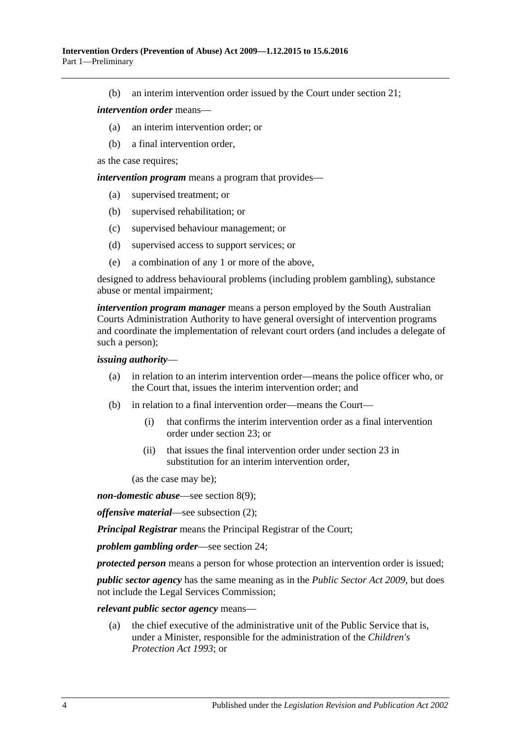(b) an interim intervention order issued by the Court under [section](#page-15-0) 21;

#### *intervention order* means—

- (a) an interim intervention order; or
- (b) a final intervention order,

as the case requires;

*intervention program* means a program that provides—

- (a) supervised treatment; or
- (b) supervised rehabilitation; or
- (c) supervised behaviour management; or
- (d) supervised access to support services; or
- (e) a combination of any 1 or more of the above,

designed to address behavioural problems (including problem gambling), substance abuse or mental impairment;

*intervention program manager* means a person employed by the South Australian Courts Administration Authority to have general oversight of intervention programs and coordinate the implementation of relevant court orders (and includes a delegate of such a person);

#### *issuing authority*—

- (a) in relation to an interim intervention order—means the police officer who, or the Court that, issues the interim intervention order; and
- (b) in relation to a final intervention order—means the Court—
	- (i) that confirms the interim intervention order as a final intervention order under [section](#page-17-1) 23; or
	- (ii) that issues the final intervention order under [section](#page-17-1) 23 in substitution for an interim intervention order,

(as the case may be);

*non-domestic abuse*—see [section](#page-8-3) 8(9);

*offensive material*—see [subsection](#page-4-3) (2);

*Principal Registrar* means the Principal Registrar of the Court;

*problem gambling order*—see [section](#page-19-0) 24;

*protected person* means a person for whose protection an intervention order is issued;

*public sector agency* has the same meaning as in the *[Public Sector Act](http://www.legislation.sa.gov.au/index.aspx?action=legref&type=act&legtitle=Public%20Sector%20Act%202009) 2009*, but does not include the Legal Services Commission;

*relevant public sector agency* means—

(a) the chief executive of the administrative unit of the Public Service that is, under a Minister, responsible for the administration of the *[Children's](http://www.legislation.sa.gov.au/index.aspx?action=legref&type=act&legtitle=Childrens%20Protection%20Act%201993)  [Protection Act](http://www.legislation.sa.gov.au/index.aspx?action=legref&type=act&legtitle=Childrens%20Protection%20Act%201993) 1993*; or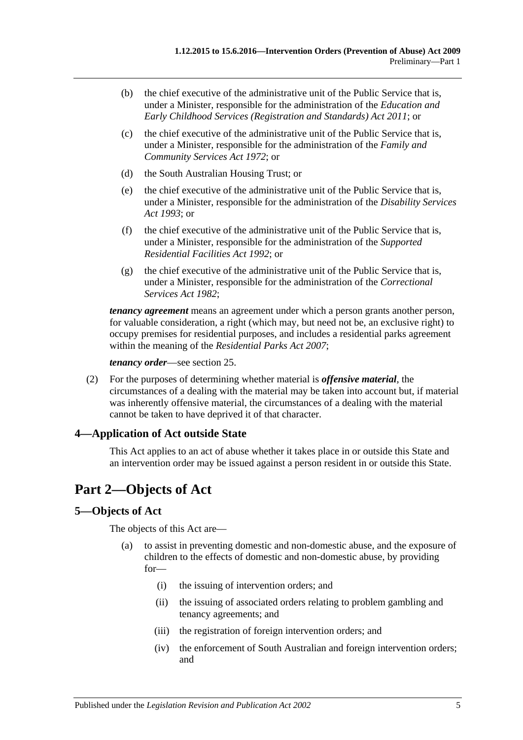- (b) the chief executive of the administrative unit of the Public Service that is, under a Minister, responsible for the administration of the *[Education and](http://www.legislation.sa.gov.au/index.aspx?action=legref&type=act&legtitle=Education%20and%20Early%20Childhood%20Services%20(Registration%20and%20Standards)%20Act%202011)  [Early Childhood Services \(Registration and Standards\) Act](http://www.legislation.sa.gov.au/index.aspx?action=legref&type=act&legtitle=Education%20and%20Early%20Childhood%20Services%20(Registration%20and%20Standards)%20Act%202011) 2011*; or
- (c) the chief executive of the administrative unit of the Public Service that is, under a Minister, responsible for the administration of the *[Family and](http://www.legislation.sa.gov.au/index.aspx?action=legref&type=act&legtitle=Family%20and%20Community%20Services%20Act%201972)  [Community Services Act](http://www.legislation.sa.gov.au/index.aspx?action=legref&type=act&legtitle=Family%20and%20Community%20Services%20Act%201972) 1972*; or
- (d) the South Australian Housing Trust; or
- (e) the chief executive of the administrative unit of the Public Service that is, under a Minister, responsible for the administration of the *[Disability Services](http://www.legislation.sa.gov.au/index.aspx?action=legref&type=act&legtitle=Disability%20Services%20Act%201993)  Act [1993](http://www.legislation.sa.gov.au/index.aspx?action=legref&type=act&legtitle=Disability%20Services%20Act%201993)*; or
- (f) the chief executive of the administrative unit of the Public Service that is, under a Minister, responsible for the administration of the *[Supported](http://www.legislation.sa.gov.au/index.aspx?action=legref&type=act&legtitle=Supported%20Residential%20Facilities%20Act%201992)  [Residential Facilities Act](http://www.legislation.sa.gov.au/index.aspx?action=legref&type=act&legtitle=Supported%20Residential%20Facilities%20Act%201992) 1992*; or
- (g) the chief executive of the administrative unit of the Public Service that is, under a Minister, responsible for the administration of the *[Correctional](http://www.legislation.sa.gov.au/index.aspx?action=legref&type=act&legtitle=Correctional%20Services%20Act%201982)  [Services Act](http://www.legislation.sa.gov.au/index.aspx?action=legref&type=act&legtitle=Correctional%20Services%20Act%201982) 1982*;

*tenancy agreement* means an agreement under which a person grants another person, for valuable consideration, a right (which may, but need not be, an exclusive right) to occupy premises for residential purposes, and includes a residential parks agreement within the meaning of the *[Residential Parks Act](http://www.legislation.sa.gov.au/index.aspx?action=legref&type=act&legtitle=Residential%20Parks%20Act%202007) 2007*;

*tenancy order*—see [section](#page-19-1) 25.

<span id="page-4-3"></span>(2) For the purposes of determining whether material is *offensive material*, the circumstances of a dealing with the material may be taken into account but, if material was inherently offensive material, the circumstances of a dealing with the material cannot be taken to have deprived it of that character.

### <span id="page-4-0"></span>**4—Application of Act outside State**

This Act applies to an act of abuse whether it takes place in or outside this State and an intervention order may be issued against a person resident in or outside this State.

# <span id="page-4-1"></span>**Part 2—Objects of Act**

### <span id="page-4-2"></span>**5—Objects of Act**

The objects of this Act are—

- (a) to assist in preventing domestic and non-domestic abuse, and the exposure of children to the effects of domestic and non-domestic abuse, by providing for—
	- (i) the issuing of intervention orders; and
	- (ii) the issuing of associated orders relating to problem gambling and tenancy agreements; and
	- (iii) the registration of foreign intervention orders; and
	- (iv) the enforcement of South Australian and foreign intervention orders; and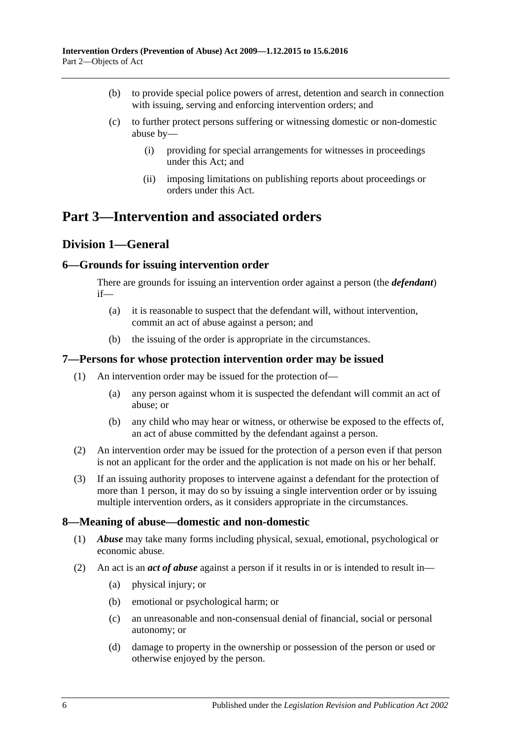- (b) to provide special police powers of arrest, detention and search in connection with issuing, serving and enforcing intervention orders; and
- (c) to further protect persons suffering or witnessing domestic or non-domestic abuse by—
	- (i) providing for special arrangements for witnesses in proceedings under this Act; and
	- (ii) imposing limitations on publishing reports about proceedings or orders under this Act.

# <span id="page-5-1"></span><span id="page-5-0"></span>**Part 3—Intervention and associated orders**

## **Division 1—General**

### <span id="page-5-2"></span>**6—Grounds for issuing intervention order**

There are grounds for issuing an intervention order against a person (the *defendant*) if—

- (a) it is reasonable to suspect that the defendant will, without intervention, commit an act of abuse against a person; and
- (b) the issuing of the order is appropriate in the circumstances.

#### <span id="page-5-3"></span>**7—Persons for whose protection intervention order may be issued**

- (1) An intervention order may be issued for the protection of—
	- (a) any person against whom it is suspected the defendant will commit an act of abuse; or
	- (b) any child who may hear or witness, or otherwise be exposed to the effects of, an act of abuse committed by the defendant against a person.
- (2) An intervention order may be issued for the protection of a person even if that person is not an applicant for the order and the application is not made on his or her behalf.
- (3) If an issuing authority proposes to intervene against a defendant for the protection of more than 1 person, it may do so by issuing a single intervention order or by issuing multiple intervention orders, as it considers appropriate in the circumstances.

#### <span id="page-5-4"></span>**8—Meaning of abuse—domestic and non-domestic**

- (1) *Abuse* may take many forms including physical, sexual, emotional, psychological or economic abuse.
- <span id="page-5-6"></span><span id="page-5-5"></span>(2) An act is an *act of abuse* against a person if it results in or is intended to result in—
	- (a) physical injury; or
	- (b) emotional or psychological harm; or
	- (c) an unreasonable and non-consensual denial of financial, social or personal autonomy; or
	- (d) damage to property in the ownership or possession of the person or used or otherwise enjoyed by the person.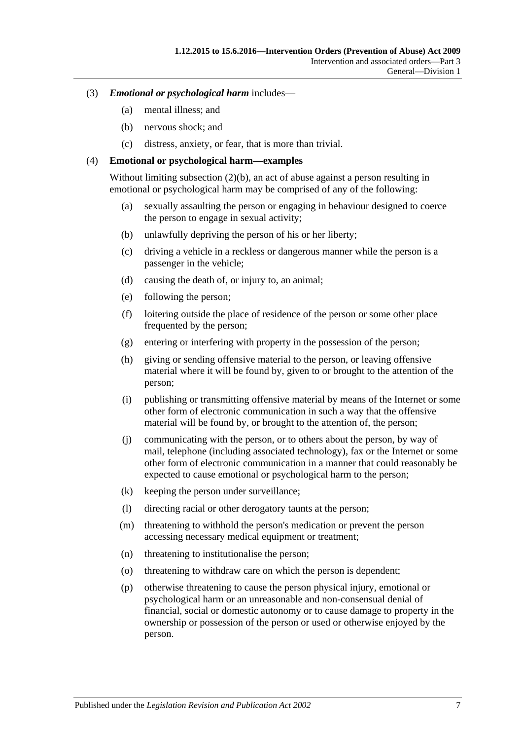- (3) *Emotional or psychological harm* includes—
	- (a) mental illness; and
	- (b) nervous shock; and
	- (c) distress, anxiety, or fear, that is more than trivial.

#### (4) **Emotional or psychological harm—examples**

Without limiting [subsection](#page-5-5) (2)(b), an act of abuse against a person resulting in emotional or psychological harm may be comprised of any of the following:

- (a) sexually assaulting the person or engaging in behaviour designed to coerce the person to engage in sexual activity;
- (b) unlawfully depriving the person of his or her liberty;
- (c) driving a vehicle in a reckless or dangerous manner while the person is a passenger in the vehicle;
- (d) causing the death of, or injury to, an animal;
- (e) following the person;
- (f) loitering outside the place of residence of the person or some other place frequented by the person;
- (g) entering or interfering with property in the possession of the person;
- (h) giving or sending offensive material to the person, or leaving offensive material where it will be found by, given to or brought to the attention of the person;
- (i) publishing or transmitting offensive material by means of the Internet or some other form of electronic communication in such a way that the offensive material will be found by, or brought to the attention of, the person;
- (j) communicating with the person, or to others about the person, by way of mail, telephone (including associated technology), fax or the Internet or some other form of electronic communication in a manner that could reasonably be expected to cause emotional or psychological harm to the person;
- (k) keeping the person under surveillance;
- (l) directing racial or other derogatory taunts at the person;
- (m) threatening to withhold the person's medication or prevent the person accessing necessary medical equipment or treatment;
- (n) threatening to institutionalise the person;
- (o) threatening to withdraw care on which the person is dependent;
- (p) otherwise threatening to cause the person physical injury, emotional or psychological harm or an unreasonable and non-consensual denial of financial, social or domestic autonomy or to cause damage to property in the ownership or possession of the person or used or otherwise enjoyed by the person.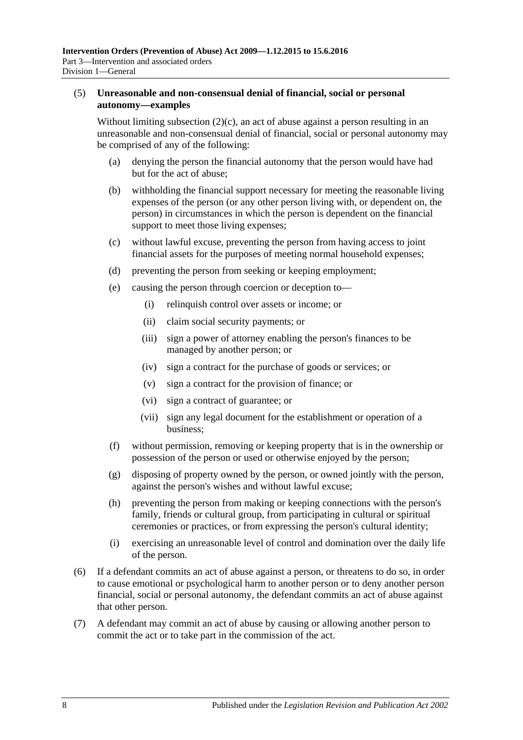#### (5) **Unreasonable and non-consensual denial of financial, social or personal autonomy—examples**

Without limiting [subsection](#page-5-6)  $(2)(c)$ , an act of abuse against a person resulting in an unreasonable and non-consensual denial of financial, social or personal autonomy may be comprised of any of the following:

- (a) denying the person the financial autonomy that the person would have had but for the act of abuse;
- (b) withholding the financial support necessary for meeting the reasonable living expenses of the person (or any other person living with, or dependent on, the person) in circumstances in which the person is dependent on the financial support to meet those living expenses;
- (c) without lawful excuse, preventing the person from having access to joint financial assets for the purposes of meeting normal household expenses;
- (d) preventing the person from seeking or keeping employment;
- (e) causing the person through coercion or deception to—
	- (i) relinquish control over assets or income; or
	- (ii) claim social security payments; or
	- (iii) sign a power of attorney enabling the person's finances to be managed by another person; or
	- (iv) sign a contract for the purchase of goods or services; or
	- (v) sign a contract for the provision of finance; or
	- (vi) sign a contract of guarantee; or
	- (vii) sign any legal document for the establishment or operation of a business;
- (f) without permission, removing or keeping property that is in the ownership or possession of the person or used or otherwise enjoyed by the person;
- (g) disposing of property owned by the person, or owned jointly with the person, against the person's wishes and without lawful excuse;
- (h) preventing the person from making or keeping connections with the person's family, friends or cultural group, from participating in cultural or spiritual ceremonies or practices, or from expressing the person's cultural identity;
- (i) exercising an unreasonable level of control and domination over the daily life of the person.
- (6) If a defendant commits an act of abuse against a person, or threatens to do so, in order to cause emotional or psychological harm to another person or to deny another person financial, social or personal autonomy, the defendant commits an act of abuse against that other person.
- (7) A defendant may commit an act of abuse by causing or allowing another person to commit the act or to take part in the commission of the act.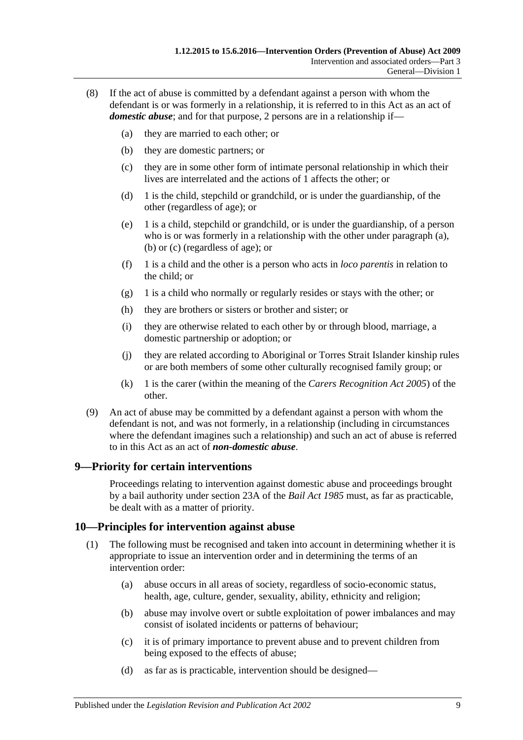- <span id="page-8-6"></span><span id="page-8-5"></span><span id="page-8-4"></span><span id="page-8-2"></span>(8) If the act of abuse is committed by a defendant against a person with whom the defendant is or was formerly in a relationship, it is referred to in this Act as an act of *domestic abuse*; and for that purpose, 2 persons are in a relationship if—
	- (a) they are married to each other; or
	- (b) they are domestic partners; or
	- (c) they are in some other form of intimate personal relationship in which their lives are interrelated and the actions of 1 affects the other; or
	- (d) 1 is the child, stepchild or grandchild, or is under the guardianship, of the other (regardless of age); or
	- (e) 1 is a child, stepchild or grandchild, or is under the guardianship, of a person who is or was formerly in a relationship with the other under [paragraph](#page-8-4) (a), [\(b\)](#page-8-5) or [\(c\)](#page-8-6) (regardless of age); or
	- (f) 1 is a child and the other is a person who acts in *loco parentis* in relation to the child; or
	- (g) 1 is a child who normally or regularly resides or stays with the other; or
	- (h) they are brothers or sisters or brother and sister; or
	- (i) they are otherwise related to each other by or through blood, marriage, a domestic partnership or adoption; or
	- (j) they are related according to Aboriginal or Torres Strait Islander kinship rules or are both members of some other culturally recognised family group; or
	- (k) 1 is the carer (within the meaning of the *[Carers Recognition Act](http://www.legislation.sa.gov.au/index.aspx?action=legref&type=act&legtitle=Carers%20Recognition%20Act%202005) 2005*) of the other.
- <span id="page-8-3"></span>(9) An act of abuse may be committed by a defendant against a person with whom the defendant is not, and was not formerly, in a relationship (including in circumstances where the defendant imagines such a relationship) and such an act of abuse is referred to in this Act as an act of *non-domestic abuse*.

### <span id="page-8-0"></span>**9—Priority for certain interventions**

Proceedings relating to intervention against domestic abuse and proceedings brought by a bail authority under section 23A of the *[Bail Act](http://www.legislation.sa.gov.au/index.aspx?action=legref&type=act&legtitle=Bail%20Act%201985) 1985* must, as far as practicable, be dealt with as a matter of priority.

### <span id="page-8-1"></span>**10—Principles for intervention against abuse**

- (1) The following must be recognised and taken into account in determining whether it is appropriate to issue an intervention order and in determining the terms of an intervention order:
	- (a) abuse occurs in all areas of society, regardless of socio-economic status, health, age, culture, gender, sexuality, ability, ethnicity and religion;
	- (b) abuse may involve overt or subtle exploitation of power imbalances and may consist of isolated incidents or patterns of behaviour;
	- (c) it is of primary importance to prevent abuse and to prevent children from being exposed to the effects of abuse;
	- (d) as far as is practicable, intervention should be designed—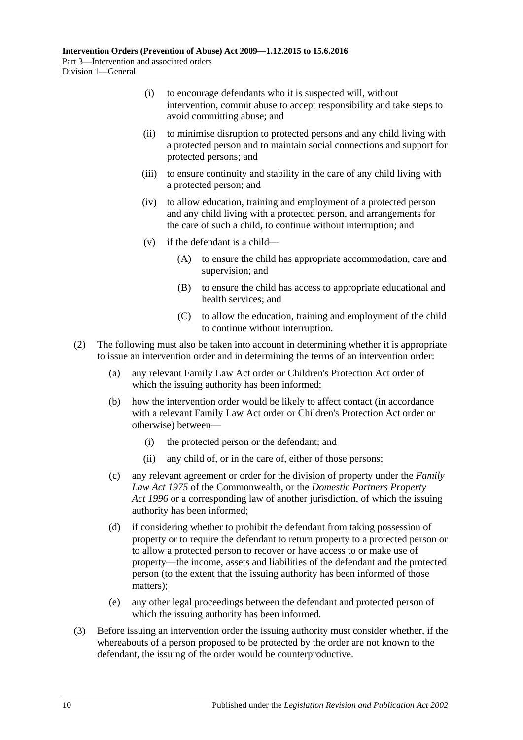- (i) to encourage defendants who it is suspected will, without intervention, commit abuse to accept responsibility and take steps to avoid committing abuse; and
- (ii) to minimise disruption to protected persons and any child living with a protected person and to maintain social connections and support for protected persons; and
- (iii) to ensure continuity and stability in the care of any child living with a protected person; and
- (iv) to allow education, training and employment of a protected person and any child living with a protected person, and arrangements for the care of such a child, to continue without interruption; and
- (v) if the defendant is a child—
	- (A) to ensure the child has appropriate accommodation, care and supervision; and
	- (B) to ensure the child has access to appropriate educational and health services; and
	- (C) to allow the education, training and employment of the child to continue without interruption.
- (2) The following must also be taken into account in determining whether it is appropriate to issue an intervention order and in determining the terms of an intervention order:
	- (a) any relevant Family Law Act order or Children's Protection Act order of which the issuing authority has been informed;
	- (b) how the intervention order would be likely to affect contact (in accordance with a relevant Family Law Act order or Children's Protection Act order or otherwise) between—
		- (i) the protected person or the defendant; and
		- (ii) any child of, or in the care of, either of those persons;
	- (c) any relevant agreement or order for the division of property under the *Family Law Act 1975* of the Commonwealth, or the *[Domestic Partners Property](http://www.legislation.sa.gov.au/index.aspx?action=legref&type=act&legtitle=Domestic%20Partners%20Property%20Act%201996)  Act [1996](http://www.legislation.sa.gov.au/index.aspx?action=legref&type=act&legtitle=Domestic%20Partners%20Property%20Act%201996)* or a corresponding law of another jurisdiction, of which the issuing authority has been informed;
	- (d) if considering whether to prohibit the defendant from taking possession of property or to require the defendant to return property to a protected person or to allow a protected person to recover or have access to or make use of property—the income, assets and liabilities of the defendant and the protected person (to the extent that the issuing authority has been informed of those matters);
	- (e) any other legal proceedings between the defendant and protected person of which the issuing authority has been informed.
- (3) Before issuing an intervention order the issuing authority must consider whether, if the whereabouts of a person proposed to be protected by the order are not known to the defendant, the issuing of the order would be counterproductive.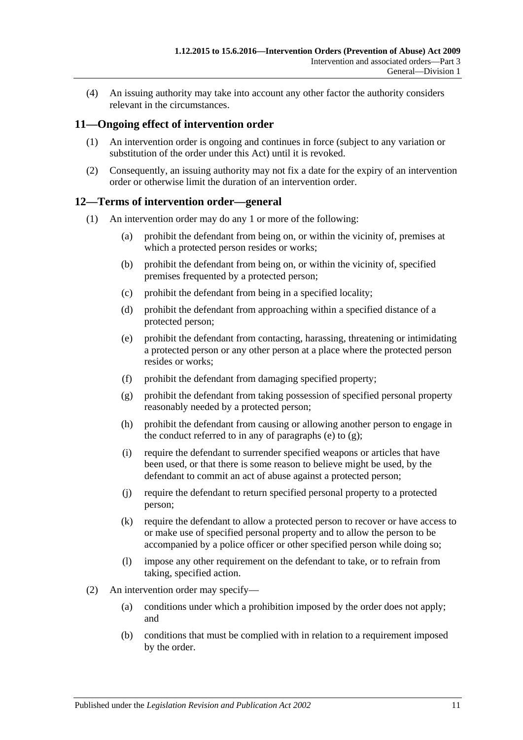(4) An issuing authority may take into account any other factor the authority considers relevant in the circumstances.

## <span id="page-10-0"></span>**11—Ongoing effect of intervention order**

- (1) An intervention order is ongoing and continues in force (subject to any variation or substitution of the order under this Act) until it is revoked.
- (2) Consequently, an issuing authority may not fix a date for the expiry of an intervention order or otherwise limit the duration of an intervention order.

### <span id="page-10-1"></span>**12—Terms of intervention order—general**

- <span id="page-10-3"></span><span id="page-10-2"></span>(1) An intervention order may do any 1 or more of the following:
	- (a) prohibit the defendant from being on, or within the vicinity of, premises at which a protected person resides or works;
	- (b) prohibit the defendant from being on, or within the vicinity of, specified premises frequented by a protected person;
	- (c) prohibit the defendant from being in a specified locality;
	- (d) prohibit the defendant from approaching within a specified distance of a protected person;
	- (e) prohibit the defendant from contacting, harassing, threatening or intimidating a protected person or any other person at a place where the protected person resides or works;
	- (f) prohibit the defendant from damaging specified property;
	- (g) prohibit the defendant from taking possession of specified personal property reasonably needed by a protected person;
	- (h) prohibit the defendant from causing or allowing another person to engage in the conduct referred to in any of [paragraphs](#page-10-2) (e) to  $(g)$ ;
	- (i) require the defendant to surrender specified weapons or articles that have been used, or that there is some reason to believe might be used, by the defendant to commit an act of abuse against a protected person;
	- (j) require the defendant to return specified personal property to a protected person;
	- (k) require the defendant to allow a protected person to recover or have access to or make use of specified personal property and to allow the person to be accompanied by a police officer or other specified person while doing so;
	- (l) impose any other requirement on the defendant to take, or to refrain from taking, specified action.
- (2) An intervention order may specify—
	- (a) conditions under which a prohibition imposed by the order does not apply; and
	- (b) conditions that must be complied with in relation to a requirement imposed by the order.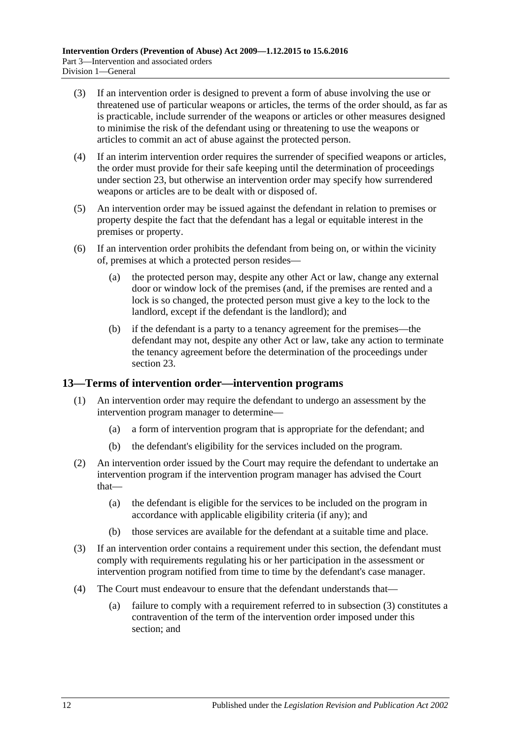- (3) If an intervention order is designed to prevent a form of abuse involving the use or threatened use of particular weapons or articles, the terms of the order should, as far as is practicable, include surrender of the weapons or articles or other measures designed to minimise the risk of the defendant using or threatening to use the weapons or articles to commit an act of abuse against the protected person.
- (4) If an interim intervention order requires the surrender of specified weapons or articles, the order must provide for their safe keeping until the determination of proceedings under [section](#page-17-1) 23, but otherwise an intervention order may specify how surrendered weapons or articles are to be dealt with or disposed of.
- (5) An intervention order may be issued against the defendant in relation to premises or property despite the fact that the defendant has a legal or equitable interest in the premises or property.
- (6) If an intervention order prohibits the defendant from being on, or within the vicinity of, premises at which a protected person resides—
	- (a) the protected person may, despite any other Act or law, change any external door or window lock of the premises (and, if the premises are rented and a lock is so changed, the protected person must give a key to the lock to the landlord, except if the defendant is the landlord); and
	- (b) if the defendant is a party to a tenancy agreement for the premises—the defendant may not, despite any other Act or law, take any action to terminate the tenancy agreement before the determination of the proceedings under [section](#page-17-1) 23.

### <span id="page-11-0"></span>**13—Terms of intervention order—intervention programs**

- (1) An intervention order may require the defendant to undergo an assessment by the intervention program manager to determine—
	- (a) a form of intervention program that is appropriate for the defendant; and
	- (b) the defendant's eligibility for the services included on the program.
- (2) An intervention order issued by the Court may require the defendant to undertake an intervention program if the intervention program manager has advised the Court that—
	- (a) the defendant is eligible for the services to be included on the program in accordance with applicable eligibility criteria (if any); and
	- (b) those services are available for the defendant at a suitable time and place.
- <span id="page-11-1"></span>(3) If an intervention order contains a requirement under this section, the defendant must comply with requirements regulating his or her participation in the assessment or intervention program notified from time to time by the defendant's case manager.
- (4) The Court must endeavour to ensure that the defendant understands that—
	- (a) failure to comply with a requirement referred to in [subsection](#page-11-1) (3) constitutes a contravention of the term of the intervention order imposed under this section; and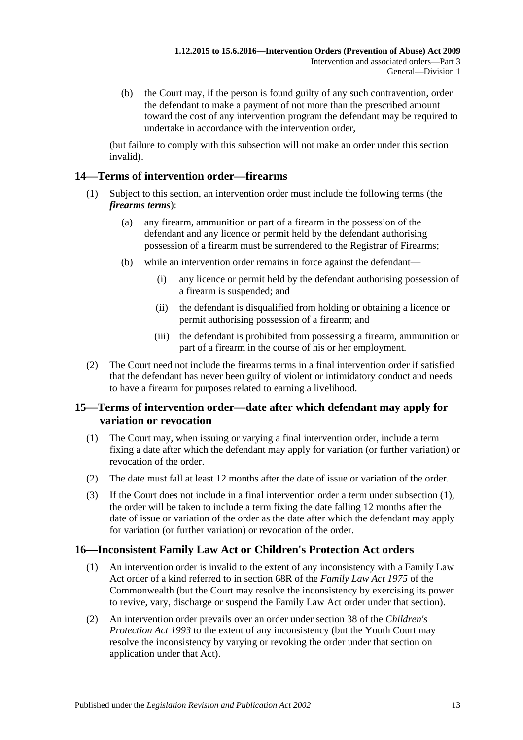(b) the Court may, if the person is found guilty of any such contravention, order the defendant to make a payment of not more than the prescribed amount toward the cost of any intervention program the defendant may be required to undertake in accordance with the intervention order,

(but failure to comply with this subsection will not make an order under this section invalid).

## <span id="page-12-0"></span>**14—Terms of intervention order—firearms**

- (1) Subject to this section, an intervention order must include the following terms (the *firearms terms*):
	- (a) any firearm, ammunition or part of a firearm in the possession of the defendant and any licence or permit held by the defendant authorising possession of a firearm must be surrendered to the Registrar of Firearms;
	- (b) while an intervention order remains in force against the defendant—
		- (i) any licence or permit held by the defendant authorising possession of a firearm is suspended; and
		- (ii) the defendant is disqualified from holding or obtaining a licence or permit authorising possession of a firearm; and
		- (iii) the defendant is prohibited from possessing a firearm, ammunition or part of a firearm in the course of his or her employment.
- (2) The Court need not include the firearms terms in a final intervention order if satisfied that the defendant has never been guilty of violent or intimidatory conduct and needs to have a firearm for purposes related to earning a livelihood.

## <span id="page-12-1"></span>**15—Terms of intervention order—date after which defendant may apply for variation or revocation**

- <span id="page-12-3"></span>(1) The Court may, when issuing or varying a final intervention order, include a term fixing a date after which the defendant may apply for variation (or further variation) or revocation of the order.
- (2) The date must fall at least 12 months after the date of issue or variation of the order.
- (3) If the Court does not include in a final intervention order a term under [subsection](#page-12-3) (1), the order will be taken to include a term fixing the date falling 12 months after the date of issue or variation of the order as the date after which the defendant may apply for variation (or further variation) or revocation of the order.

## <span id="page-12-2"></span>**16—Inconsistent Family Law Act or Children's Protection Act orders**

- (1) An intervention order is invalid to the extent of any inconsistency with a Family Law Act order of a kind referred to in section 68R of the *Family Law Act 1975* of the Commonwealth (but the Court may resolve the inconsistency by exercising its power to revive, vary, discharge or suspend the Family Law Act order under that section).
- (2) An intervention order prevails over an order under section 38 of the *[Children's](http://www.legislation.sa.gov.au/index.aspx?action=legref&type=act&legtitle=Childrens%20Protection%20Act%201993)  [Protection Act](http://www.legislation.sa.gov.au/index.aspx?action=legref&type=act&legtitle=Childrens%20Protection%20Act%201993) 1993* to the extent of any inconsistency (but the Youth Court may resolve the inconsistency by varying or revoking the order under that section on application under that Act).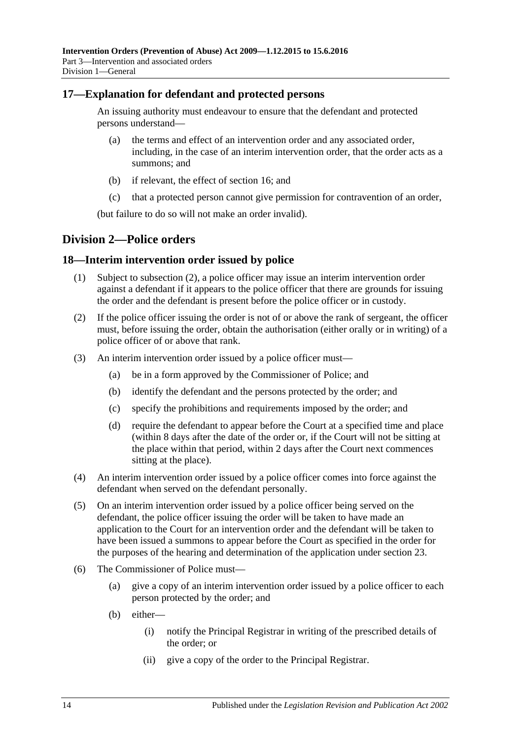## <span id="page-13-0"></span>**17—Explanation for defendant and protected persons**

An issuing authority must endeavour to ensure that the defendant and protected persons understand—

- (a) the terms and effect of an intervention order and any associated order, including, in the case of an interim intervention order, that the order acts as a summons; and
- (b) if relevant, the effect of [section](#page-12-2) 16; and
- (c) that a protected person cannot give permission for contravention of an order,

(but failure to do so will not make an order invalid).

## <span id="page-13-1"></span>**Division 2—Police orders**

#### <span id="page-13-2"></span>**18—Interim intervention order issued by police**

- (1) Subject to [subsection](#page-13-3) (2), a police officer may issue an interim intervention order against a defendant if it appears to the police officer that there are grounds for issuing the order and the defendant is present before the police officer or in custody.
- <span id="page-13-3"></span>(2) If the police officer issuing the order is not of or above the rank of sergeant, the officer must, before issuing the order, obtain the authorisation (either orally or in writing) of a police officer of or above that rank.
- (3) An interim intervention order issued by a police officer must—
	- (a) be in a form approved by the Commissioner of Police; and
	- (b) identify the defendant and the persons protected by the order; and
	- (c) specify the prohibitions and requirements imposed by the order; and
	- (d) require the defendant to appear before the Court at a specified time and place (within 8 days after the date of the order or, if the Court will not be sitting at the place within that period, within 2 days after the Court next commences sitting at the place).
- (4) An interim intervention order issued by a police officer comes into force against the defendant when served on the defendant personally.
- (5) On an interim intervention order issued by a police officer being served on the defendant, the police officer issuing the order will be taken to have made an application to the Court for an intervention order and the defendant will be taken to have been issued a summons to appear before the Court as specified in the order for the purposes of the hearing and determination of the application under [section](#page-17-1) 23.
- (6) The Commissioner of Police must—
	- (a) give a copy of an interim intervention order issued by a police officer to each person protected by the order; and
	- (b) either—
		- (i) notify the Principal Registrar in writing of the prescribed details of the order; or
		- (ii) give a copy of the order to the Principal Registrar.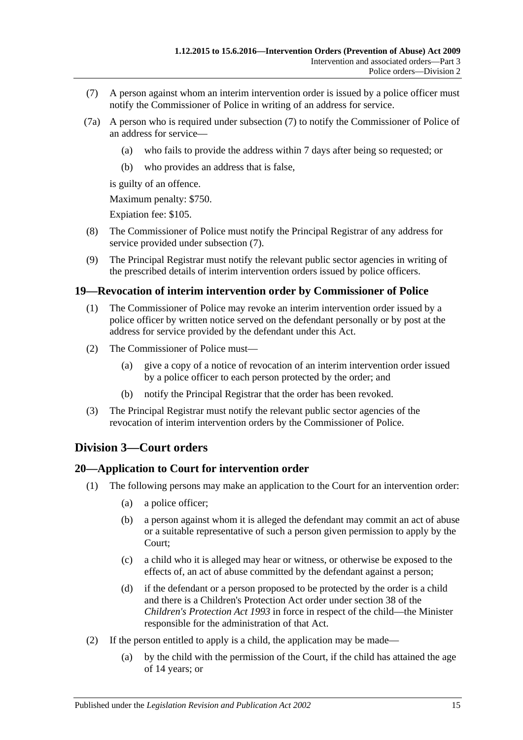- <span id="page-14-3"></span>(7) A person against whom an interim intervention order is issued by a police officer must notify the Commissioner of Police in writing of an address for service.
- (7a) A person who is required under [subsection](#page-14-3) (7) to notify the Commissioner of Police of an address for service—
	- (a) who fails to provide the address within 7 days after being so requested; or
	- (b) who provides an address that is false,

is guilty of an offence.

Maximum penalty: \$750.

Expiation fee: \$105.

- (8) The Commissioner of Police must notify the Principal Registrar of any address for service provided under [subsection](#page-14-3) (7).
- (9) The Principal Registrar must notify the relevant public sector agencies in writing of the prescribed details of interim intervention orders issued by police officers.

#### <span id="page-14-0"></span>**19—Revocation of interim intervention order by Commissioner of Police**

- (1) The Commissioner of Police may revoke an interim intervention order issued by a police officer by written notice served on the defendant personally or by post at the address for service provided by the defendant under this Act.
- (2) The Commissioner of Police must—
	- (a) give a copy of a notice of revocation of an interim intervention order issued by a police officer to each person protected by the order; and
	- (b) notify the Principal Registrar that the order has been revoked.
- (3) The Principal Registrar must notify the relevant public sector agencies of the revocation of interim intervention orders by the Commissioner of Police.

## <span id="page-14-1"></span>**Division 3—Court orders**

#### <span id="page-14-2"></span>**20—Application to Court for intervention order**

- (1) The following persons may make an application to the Court for an intervention order:
	- (a) a police officer;
	- (b) a person against whom it is alleged the defendant may commit an act of abuse or a suitable representative of such a person given permission to apply by the Court;
	- (c) a child who it is alleged may hear or witness, or otherwise be exposed to the effects of, an act of abuse committed by the defendant against a person;
	- (d) if the defendant or a person proposed to be protected by the order is a child and there is a Children's Protection Act order under section 38 of the *[Children's Protection Act](http://www.legislation.sa.gov.au/index.aspx?action=legref&type=act&legtitle=Childrens%20Protection%20Act%201993) 1993* in force in respect of the child—the Minister responsible for the administration of that Act.
- (2) If the person entitled to apply is a child, the application may be made—
	- (a) by the child with the permission of the Court, if the child has attained the age of 14 years; or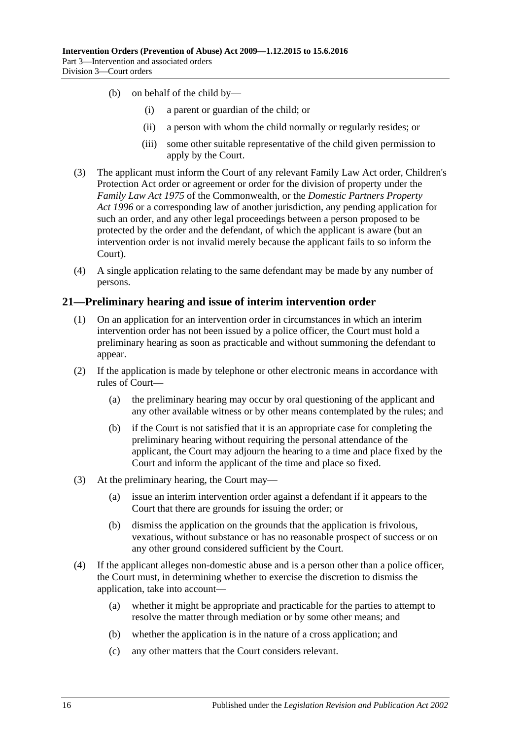- (b) on behalf of the child by—
	- (i) a parent or guardian of the child; or
	- (ii) a person with whom the child normally or regularly resides; or
	- (iii) some other suitable representative of the child given permission to apply by the Court.
- (3) The applicant must inform the Court of any relevant Family Law Act order, Children's Protection Act order or agreement or order for the division of property under the *Family Law Act 1975* of the Commonwealth, or the *[Domestic Partners Property](http://www.legislation.sa.gov.au/index.aspx?action=legref&type=act&legtitle=Domestic%20Partners%20Property%20Act%201996)  Act [1996](http://www.legislation.sa.gov.au/index.aspx?action=legref&type=act&legtitle=Domestic%20Partners%20Property%20Act%201996)* or a corresponding law of another jurisdiction, any pending application for such an order, and any other legal proceedings between a person proposed to be protected by the order and the defendant, of which the applicant is aware (but an intervention order is not invalid merely because the applicant fails to so inform the Court).
- (4) A single application relating to the same defendant may be made by any number of persons.

#### <span id="page-15-0"></span>**21—Preliminary hearing and issue of interim intervention order**

- (1) On an application for an intervention order in circumstances in which an interim intervention order has not been issued by a police officer, the Court must hold a preliminary hearing as soon as practicable and without summoning the defendant to appear.
- (2) If the application is made by telephone or other electronic means in accordance with rules of Court—
	- (a) the preliminary hearing may occur by oral questioning of the applicant and any other available witness or by other means contemplated by the rules; and
	- (b) if the Court is not satisfied that it is an appropriate case for completing the preliminary hearing without requiring the personal attendance of the applicant, the Court may adjourn the hearing to a time and place fixed by the Court and inform the applicant of the time and place so fixed.
- (3) At the preliminary hearing, the Court may—
	- (a) issue an interim intervention order against a defendant if it appears to the Court that there are grounds for issuing the order; or
	- (b) dismiss the application on the grounds that the application is frivolous, vexatious, without substance or has no reasonable prospect of success or on any other ground considered sufficient by the Court.
- (4) If the applicant alleges non-domestic abuse and is a person other than a police officer, the Court must, in determining whether to exercise the discretion to dismiss the application, take into account—
	- (a) whether it might be appropriate and practicable for the parties to attempt to resolve the matter through mediation or by some other means; and
	- (b) whether the application is in the nature of a cross application; and
	- (c) any other matters that the Court considers relevant.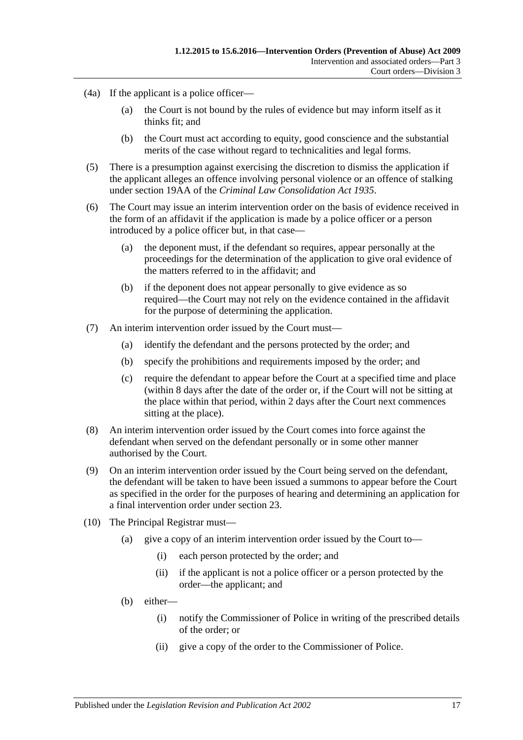- (4a) If the applicant is a police officer—
	- (a) the Court is not bound by the rules of evidence but may inform itself as it thinks fit; and
	- (b) the Court must act according to equity, good conscience and the substantial merits of the case without regard to technicalities and legal forms.
- (5) There is a presumption against exercising the discretion to dismiss the application if the applicant alleges an offence involving personal violence or an offence of stalking under section 19AA of the *[Criminal Law Consolidation Act](http://www.legislation.sa.gov.au/index.aspx?action=legref&type=act&legtitle=Criminal%20Law%20Consolidation%20Act%201935) 1935*.
- (6) The Court may issue an interim intervention order on the basis of evidence received in the form of an affidavit if the application is made by a police officer or a person introduced by a police officer but, in that case—
	- (a) the deponent must, if the defendant so requires, appear personally at the proceedings for the determination of the application to give oral evidence of the matters referred to in the affidavit; and
	- (b) if the deponent does not appear personally to give evidence as so required—the Court may not rely on the evidence contained in the affidavit for the purpose of determining the application.
- (7) An interim intervention order issued by the Court must—
	- (a) identify the defendant and the persons protected by the order; and
	- (b) specify the prohibitions and requirements imposed by the order; and
	- (c) require the defendant to appear before the Court at a specified time and place (within 8 days after the date of the order or, if the Court will not be sitting at the place within that period, within 2 days after the Court next commences sitting at the place).
- (8) An interim intervention order issued by the Court comes into force against the defendant when served on the defendant personally or in some other manner authorised by the Court.
- (9) On an interim intervention order issued by the Court being served on the defendant, the defendant will be taken to have been issued a summons to appear before the Court as specified in the order for the purposes of hearing and determining an application for a final intervention order under [section](#page-17-1) 23.
- (10) The Principal Registrar must—
	- (a) give a copy of an interim intervention order issued by the Court to—
		- (i) each person protected by the order; and
		- (ii) if the applicant is not a police officer or a person protected by the order—the applicant; and
	- (b) either—
		- (i) notify the Commissioner of Police in writing of the prescribed details of the order; or
		- (ii) give a copy of the order to the Commissioner of Police.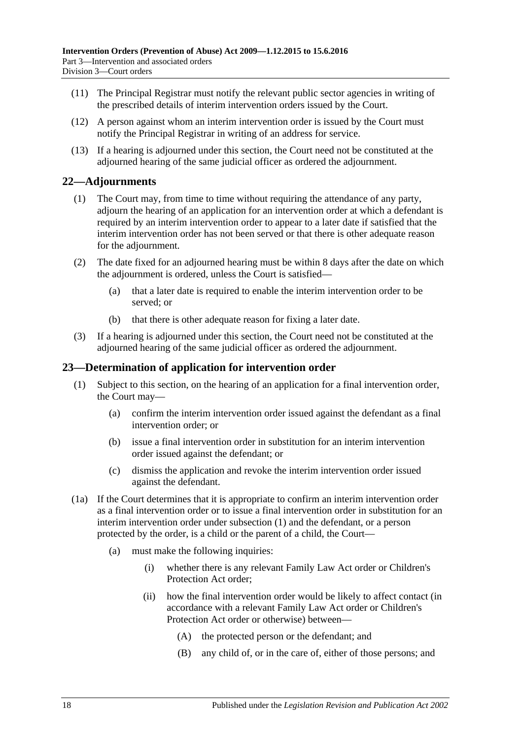- (11) The Principal Registrar must notify the relevant public sector agencies in writing of the prescribed details of interim intervention orders issued by the Court.
- (12) A person against whom an interim intervention order is issued by the Court must notify the Principal Registrar in writing of an address for service.
- (13) If a hearing is adjourned under this section, the Court need not be constituted at the adjourned hearing of the same judicial officer as ordered the adjournment.

### <span id="page-17-0"></span>**22—Adjournments**

- (1) The Court may, from time to time without requiring the attendance of any party, adjourn the hearing of an application for an intervention order at which a defendant is required by an interim intervention order to appear to a later date if satisfied that the interim intervention order has not been served or that there is other adequate reason for the adjournment.
- (2) The date fixed for an adjourned hearing must be within 8 days after the date on which the adjournment is ordered, unless the Court is satisfied—
	- (a) that a later date is required to enable the interim intervention order to be served; or
	- (b) that there is other adequate reason for fixing a later date.
- (3) If a hearing is adjourned under this section, the Court need not be constituted at the adjourned hearing of the same judicial officer as ordered the adjournment.

#### <span id="page-17-2"></span><span id="page-17-1"></span>**23—Determination of application for intervention order**

- (1) Subject to this section, on the hearing of an application for a final intervention order, the Court may—
	- (a) confirm the interim intervention order issued against the defendant as a final intervention order; or
	- (b) issue a final intervention order in substitution for an interim intervention order issued against the defendant; or
	- (c) dismiss the application and revoke the interim intervention order issued against the defendant.
- (1a) If the Court determines that it is appropriate to confirm an interim intervention order as a final intervention order or to issue a final intervention order in substitution for an interim intervention order under [subsection](#page-17-2) (1) and the defendant, or a person protected by the order, is a child or the parent of a child, the Court—
	- (a) must make the following inquiries:
		- (i) whether there is any relevant Family Law Act order or Children's Protection Act order;
		- (ii) how the final intervention order would be likely to affect contact (in accordance with a relevant Family Law Act order or Children's Protection Act order or otherwise) between—
			- (A) the protected person or the defendant; and
			- (B) any child of, or in the care of, either of those persons; and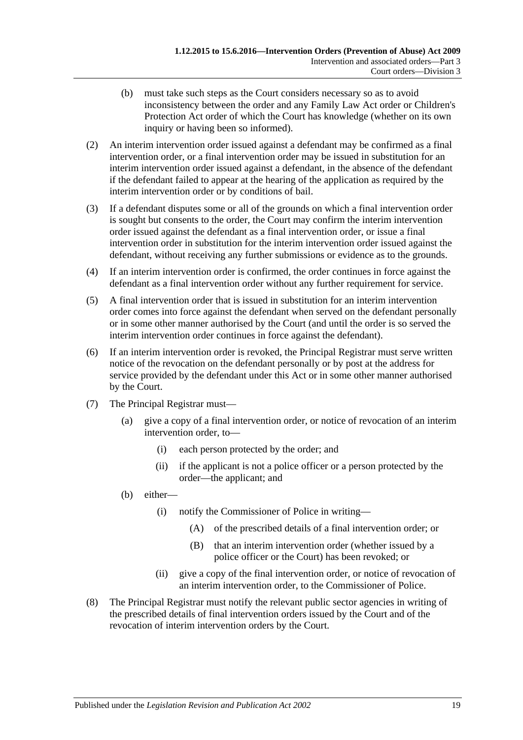- (b) must take such steps as the Court considers necessary so as to avoid inconsistency between the order and any Family Law Act order or Children's Protection Act order of which the Court has knowledge (whether on its own inquiry or having been so informed).
- (2) An interim intervention order issued against a defendant may be confirmed as a final intervention order, or a final intervention order may be issued in substitution for an interim intervention order issued against a defendant, in the absence of the defendant if the defendant failed to appear at the hearing of the application as required by the interim intervention order or by conditions of bail.
- (3) If a defendant disputes some or all of the grounds on which a final intervention order is sought but consents to the order, the Court may confirm the interim intervention order issued against the defendant as a final intervention order, or issue a final intervention order in substitution for the interim intervention order issued against the defendant, without receiving any further submissions or evidence as to the grounds.
- (4) If an interim intervention order is confirmed, the order continues in force against the defendant as a final intervention order without any further requirement for service.
- (5) A final intervention order that is issued in substitution for an interim intervention order comes into force against the defendant when served on the defendant personally or in some other manner authorised by the Court (and until the order is so served the interim intervention order continues in force against the defendant).
- (6) If an interim intervention order is revoked, the Principal Registrar must serve written notice of the revocation on the defendant personally or by post at the address for service provided by the defendant under this Act or in some other manner authorised by the Court.
- (7) The Principal Registrar must—
	- (a) give a copy of a final intervention order, or notice of revocation of an interim intervention order, to—
		- (i) each person protected by the order; and
		- (ii) if the applicant is not a police officer or a person protected by the order—the applicant; and
	- (b) either—
		- (i) notify the Commissioner of Police in writing—
			- (A) of the prescribed details of a final intervention order; or
			- (B) that an interim intervention order (whether issued by a police officer or the Court) has been revoked; or
		- (ii) give a copy of the final intervention order, or notice of revocation of an interim intervention order, to the Commissioner of Police.
- (8) The Principal Registrar must notify the relevant public sector agencies in writing of the prescribed details of final intervention orders issued by the Court and of the revocation of interim intervention orders by the Court.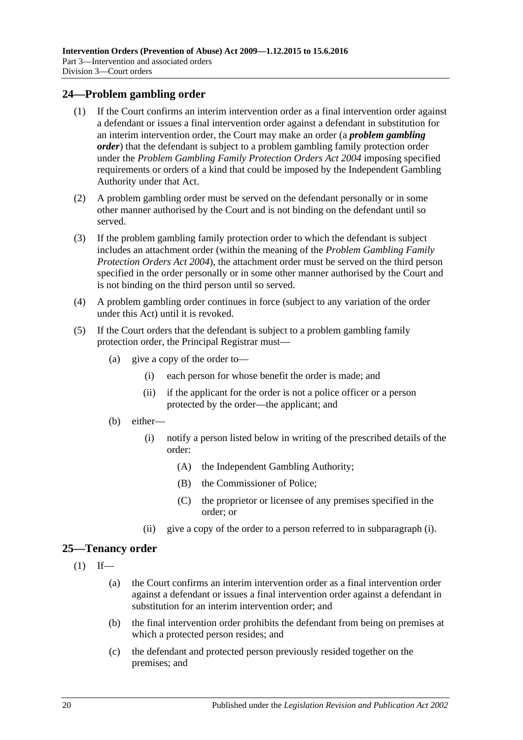### <span id="page-19-0"></span>**24—Problem gambling order**

- (1) If the Court confirms an interim intervention order as a final intervention order against a defendant or issues a final intervention order against a defendant in substitution for an interim intervention order, the Court may make an order (a *problem gambling order*) that the defendant is subject to a problem gambling family protection order under the *[Problem Gambling Family Protection Orders Act](http://www.legislation.sa.gov.au/index.aspx?action=legref&type=act&legtitle=Problem%20Gambling%20Family%20Protection%20Orders%20Act%202004) 2004* imposing specified requirements or orders of a kind that could be imposed by the Independent Gambling Authority under that Act.
- (2) A problem gambling order must be served on the defendant personally or in some other manner authorised by the Court and is not binding on the defendant until so served.
- (3) If the problem gambling family protection order to which the defendant is subject includes an attachment order (within the meaning of the *[Problem Gambling Family](http://www.legislation.sa.gov.au/index.aspx?action=legref&type=act&legtitle=Problem%20Gambling%20Family%20Protection%20Orders%20Act%202004)  [Protection Orders Act](http://www.legislation.sa.gov.au/index.aspx?action=legref&type=act&legtitle=Problem%20Gambling%20Family%20Protection%20Orders%20Act%202004) 2004*), the attachment order must be served on the third person specified in the order personally or in some other manner authorised by the Court and is not binding on the third person until so served.
- (4) A problem gambling order continues in force (subject to any variation of the order under this Act) until it is revoked.
- <span id="page-19-2"></span>(5) If the Court orders that the defendant is subject to a problem gambling family protection order, the Principal Registrar must—
	- (a) give a copy of the order to—
		- (i) each person for whose benefit the order is made; and
		- (ii) if the applicant for the order is not a police officer or a person protected by the order—the applicant; and
	- (b) either—
		- (i) notify a person listed below in writing of the prescribed details of the order:
			- (A) the Independent Gambling Authority;
			- (B) the Commissioner of Police;
			- (C) the proprietor or licensee of any premises specified in the order; or
		- (ii) give a copy of the order to a person referred to in [subparagraph](#page-19-2) (i).

## <span id="page-19-1"></span>**25—Tenancy order**

- $(1)$  If—
	- (a) the Court confirms an interim intervention order as a final intervention order against a defendant or issues a final intervention order against a defendant in substitution for an interim intervention order; and
	- (b) the final intervention order prohibits the defendant from being on premises at which a protected person resides; and
	- (c) the defendant and protected person previously resided together on the premises; and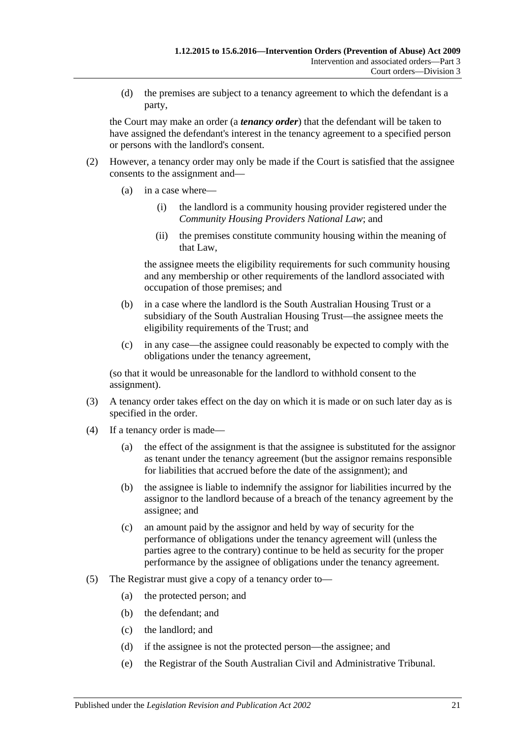(d) the premises are subject to a tenancy agreement to which the defendant is a party,

the Court may make an order (a *tenancy order*) that the defendant will be taken to have assigned the defendant's interest in the tenancy agreement to a specified person or persons with the landlord's consent.

- (2) However, a tenancy order may only be made if the Court is satisfied that the assignee consents to the assignment and—
	- (a) in a case where—
		- (i) the landlord is a community housing provider registered under the *Community Housing Providers National Law*; and
		- (ii) the premises constitute community housing within the meaning of that Law,

the assignee meets the eligibility requirements for such community housing and any membership or other requirements of the landlord associated with occupation of those premises; and

- (b) in a case where the landlord is the South Australian Housing Trust or a subsidiary of the South Australian Housing Trust—the assignee meets the eligibility requirements of the Trust; and
- (c) in any case—the assignee could reasonably be expected to comply with the obligations under the tenancy agreement,

(so that it would be unreasonable for the landlord to withhold consent to the assignment).

- (3) A tenancy order takes effect on the day on which it is made or on such later day as is specified in the order.
- (4) If a tenancy order is made—
	- (a) the effect of the assignment is that the assignee is substituted for the assignor as tenant under the tenancy agreement (but the assignor remains responsible for liabilities that accrued before the date of the assignment); and
	- (b) the assignee is liable to indemnify the assignor for liabilities incurred by the assignor to the landlord because of a breach of the tenancy agreement by the assignee; and
	- (c) an amount paid by the assignor and held by way of security for the performance of obligations under the tenancy agreement will (unless the parties agree to the contrary) continue to be held as security for the proper performance by the assignee of obligations under the tenancy agreement.
- (5) The Registrar must give a copy of a tenancy order to—
	- (a) the protected person; and
	- (b) the defendant; and
	- (c) the landlord; and
	- (d) if the assignee is not the protected person—the assignee; and
	- (e) the Registrar of the South Australian Civil and Administrative Tribunal.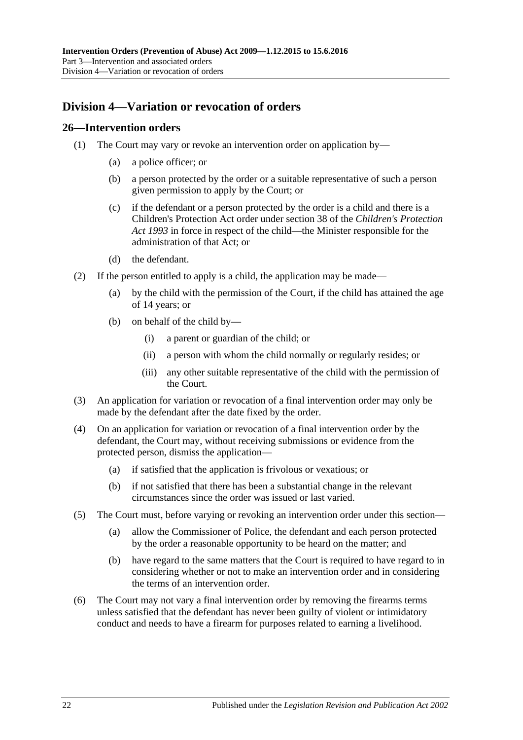## <span id="page-21-0"></span>**Division 4—Variation or revocation of orders**

#### <span id="page-21-1"></span>**26—Intervention orders**

- (1) The Court may vary or revoke an intervention order on application by—
	- (a) a police officer; or
	- (b) a person protected by the order or a suitable representative of such a person given permission to apply by the Court; or
	- (c) if the defendant or a person protected by the order is a child and there is a Children's Protection Act order under section 38 of the *[Children's Protection](http://www.legislation.sa.gov.au/index.aspx?action=legref&type=act&legtitle=Childrens%20Protection%20Act%201993)  Act [1993](http://www.legislation.sa.gov.au/index.aspx?action=legref&type=act&legtitle=Childrens%20Protection%20Act%201993)* in force in respect of the child—the Minister responsible for the administration of that Act; or
	- (d) the defendant.
- (2) If the person entitled to apply is a child, the application may be made—
	- (a) by the child with the permission of the Court, if the child has attained the age of 14 years; or
	- (b) on behalf of the child by—
		- (i) a parent or guardian of the child; or
		- (ii) a person with whom the child normally or regularly resides; or
		- (iii) any other suitable representative of the child with the permission of the Court.
- (3) An application for variation or revocation of a final intervention order may only be made by the defendant after the date fixed by the order.
- (4) On an application for variation or revocation of a final intervention order by the defendant, the Court may, without receiving submissions or evidence from the protected person, dismiss the application—
	- (a) if satisfied that the application is frivolous or vexatious; or
	- (b) if not satisfied that there has been a substantial change in the relevant circumstances since the order was issued or last varied.
- (5) The Court must, before varying or revoking an intervention order under this section—
	- (a) allow the Commissioner of Police, the defendant and each person protected by the order a reasonable opportunity to be heard on the matter; and
	- (b) have regard to the same matters that the Court is required to have regard to in considering whether or not to make an intervention order and in considering the terms of an intervention order.
- (6) The Court may not vary a final intervention order by removing the firearms terms unless satisfied that the defendant has never been guilty of violent or intimidatory conduct and needs to have a firearm for purposes related to earning a livelihood.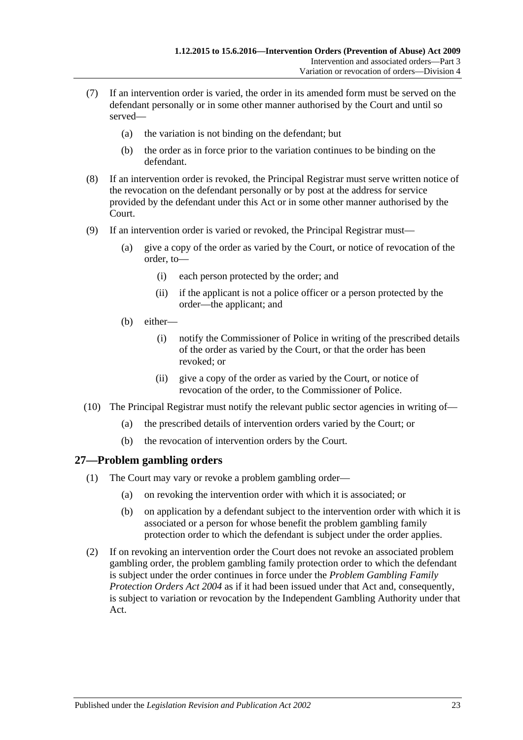- (7) If an intervention order is varied, the order in its amended form must be served on the defendant personally or in some other manner authorised by the Court and until so served—
	- (a) the variation is not binding on the defendant; but
	- (b) the order as in force prior to the variation continues to be binding on the defendant.
- (8) If an intervention order is revoked, the Principal Registrar must serve written notice of the revocation on the defendant personally or by post at the address for service provided by the defendant under this Act or in some other manner authorised by the Court.
- (9) If an intervention order is varied or revoked, the Principal Registrar must—
	- (a) give a copy of the order as varied by the Court, or notice of revocation of the order, to—
		- (i) each person protected by the order; and
		- (ii) if the applicant is not a police officer or a person protected by the order—the applicant; and
	- (b) either—
		- (i) notify the Commissioner of Police in writing of the prescribed details of the order as varied by the Court, or that the order has been revoked; or
		- (ii) give a copy of the order as varied by the Court, or notice of revocation of the order, to the Commissioner of Police.
- (10) The Principal Registrar must notify the relevant public sector agencies in writing of—
	- (a) the prescribed details of intervention orders varied by the Court; or
	- (b) the revocation of intervention orders by the Court.

### <span id="page-22-0"></span>**27—Problem gambling orders**

- (1) The Court may vary or revoke a problem gambling order—
	- (a) on revoking the intervention order with which it is associated; or
	- (b) on application by a defendant subject to the intervention order with which it is associated or a person for whose benefit the problem gambling family protection order to which the defendant is subject under the order applies.
- (2) If on revoking an intervention order the Court does not revoke an associated problem gambling order, the problem gambling family protection order to which the defendant is subject under the order continues in force under the *[Problem Gambling Family](http://www.legislation.sa.gov.au/index.aspx?action=legref&type=act&legtitle=Problem%20Gambling%20Family%20Protection%20Orders%20Act%202004)  [Protection Orders Act](http://www.legislation.sa.gov.au/index.aspx?action=legref&type=act&legtitle=Problem%20Gambling%20Family%20Protection%20Orders%20Act%202004) 2004* as if it had been issued under that Act and, consequently, is subject to variation or revocation by the Independent Gambling Authority under that Act.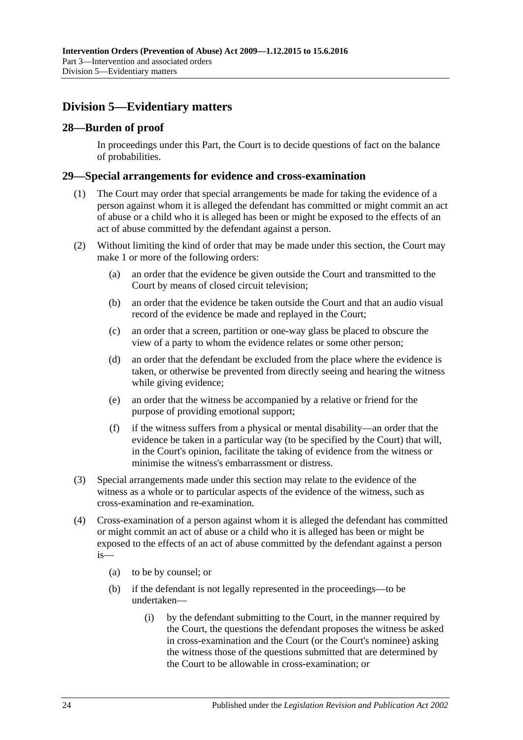## <span id="page-23-0"></span>**Division 5—Evidentiary matters**

## <span id="page-23-1"></span>**28—Burden of proof**

In proceedings under this Part, the Court is to decide questions of fact on the balance of probabilities.

#### <span id="page-23-2"></span>**29—Special arrangements for evidence and cross-examination**

- (1) The Court may order that special arrangements be made for taking the evidence of a person against whom it is alleged the defendant has committed or might commit an act of abuse or a child who it is alleged has been or might be exposed to the effects of an act of abuse committed by the defendant against a person.
- (2) Without limiting the kind of order that may be made under this section, the Court may make 1 or more of the following orders:
	- (a) an order that the evidence be given outside the Court and transmitted to the Court by means of closed circuit television;
	- (b) an order that the evidence be taken outside the Court and that an audio visual record of the evidence be made and replayed in the Court;
	- (c) an order that a screen, partition or one-way glass be placed to obscure the view of a party to whom the evidence relates or some other person;
	- (d) an order that the defendant be excluded from the place where the evidence is taken, or otherwise be prevented from directly seeing and hearing the witness while giving evidence;
	- (e) an order that the witness be accompanied by a relative or friend for the purpose of providing emotional support;
	- (f) if the witness suffers from a physical or mental disability—an order that the evidence be taken in a particular way (to be specified by the Court) that will, in the Court's opinion, facilitate the taking of evidence from the witness or minimise the witness's embarrassment or distress.
- (3) Special arrangements made under this section may relate to the evidence of the witness as a whole or to particular aspects of the evidence of the witness, such as cross-examination and re-examination.
- (4) Cross-examination of a person against whom it is alleged the defendant has committed or might commit an act of abuse or a child who it is alleged has been or might be exposed to the effects of an act of abuse committed by the defendant against a person is—
	- (a) to be by counsel; or
	- (b) if the defendant is not legally represented in the proceedings—to be undertaken—
		- (i) by the defendant submitting to the Court, in the manner required by the Court, the questions the defendant proposes the witness be asked in cross-examination and the Court (or the Court's nominee) asking the witness those of the questions submitted that are determined by the Court to be allowable in cross-examination; or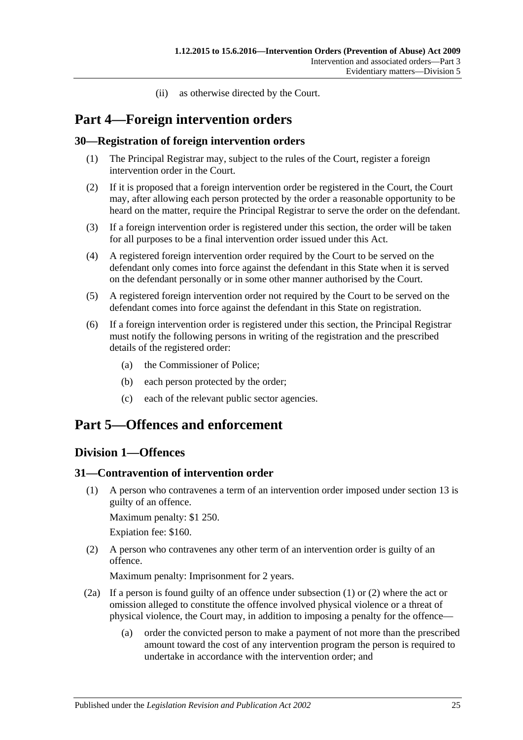(ii) as otherwise directed by the Court.

# <span id="page-24-0"></span>**Part 4—Foreign intervention orders**

## <span id="page-24-1"></span>**30—Registration of foreign intervention orders**

- (1) The Principal Registrar may, subject to the rules of the Court, register a foreign intervention order in the Court.
- (2) If it is proposed that a foreign intervention order be registered in the Court, the Court may, after allowing each person protected by the order a reasonable opportunity to be heard on the matter, require the Principal Registrar to serve the order on the defendant.
- (3) If a foreign intervention order is registered under this section, the order will be taken for all purposes to be a final intervention order issued under this Act.
- (4) A registered foreign intervention order required by the Court to be served on the defendant only comes into force against the defendant in this State when it is served on the defendant personally or in some other manner authorised by the Court.
- (5) A registered foreign intervention order not required by the Court to be served on the defendant comes into force against the defendant in this State on registration.
- (6) If a foreign intervention order is registered under this section, the Principal Registrar must notify the following persons in writing of the registration and the prescribed details of the registered order:
	- (a) the Commissioner of Police;
	- (b) each person protected by the order;
	- (c) each of the relevant public sector agencies.

# <span id="page-24-3"></span><span id="page-24-2"></span>**Part 5—Offences and enforcement**

## **Division 1—Offences**

### <span id="page-24-5"></span><span id="page-24-4"></span>**31—Contravention of intervention order**

(1) A person who contravenes a term of an intervention order imposed under [section](#page-11-0) 13 is guilty of an offence.

Maximum penalty: \$1 250.

Expiation fee: \$160.

<span id="page-24-6"></span>(2) A person who contravenes any other term of an intervention order is guilty of an offence.

Maximum penalty: Imprisonment for 2 years.

- (2a) If a person is found guilty of an offence under [subsection](#page-24-5) (1) or [\(2\)](#page-24-6) where the act or omission alleged to constitute the offence involved physical violence or a threat of physical violence, the Court may, in addition to imposing a penalty for the offence—
	- (a) order the convicted person to make a payment of not more than the prescribed amount toward the cost of any intervention program the person is required to undertake in accordance with the intervention order; and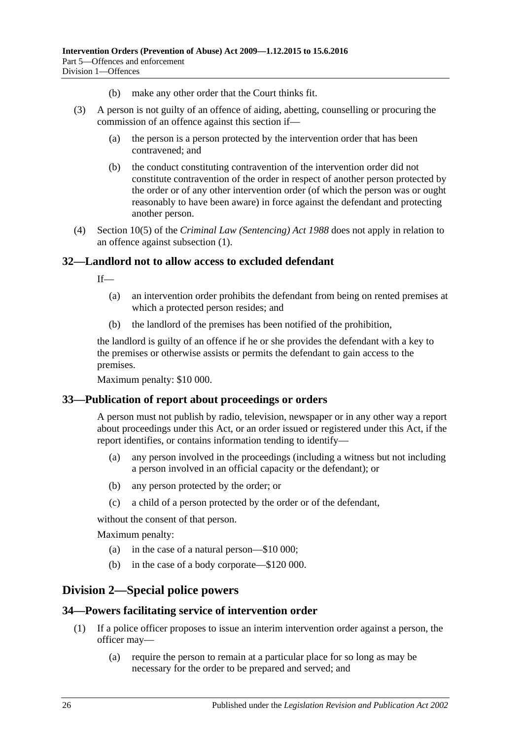- (b) make any other order that the Court thinks fit.
- (3) A person is not guilty of an offence of aiding, abetting, counselling or procuring the commission of an offence against this section if—
	- (a) the person is a person protected by the intervention order that has been contravened; and
	- (b) the conduct constituting contravention of the intervention order did not constitute contravention of the order in respect of another person protected by the order or of any other intervention order (of which the person was or ought reasonably to have been aware) in force against the defendant and protecting another person.
- (4) Section 10(5) of the *[Criminal Law \(Sentencing\) Act](http://www.legislation.sa.gov.au/index.aspx?action=legref&type=act&legtitle=Criminal%20Law%20(Sentencing)%20Act%201988) 1988* does not apply in relation to an offence against [subsection](#page-24-5) (1).

#### <span id="page-25-0"></span>**32—Landlord not to allow access to excluded defendant**

If—

- (a) an intervention order prohibits the defendant from being on rented premises at which a protected person resides; and
- (b) the landlord of the premises has been notified of the prohibition,

the landlord is guilty of an offence if he or she provides the defendant with a key to the premises or otherwise assists or permits the defendant to gain access to the premises.

Maximum penalty: \$10 000.

#### <span id="page-25-1"></span>**33—Publication of report about proceedings or orders**

A person must not publish by radio, television, newspaper or in any other way a report about proceedings under this Act, or an order issued or registered under this Act, if the report identifies, or contains information tending to identify—

- (a) any person involved in the proceedings (including a witness but not including a person involved in an official capacity or the defendant); or
- (b) any person protected by the order; or
- (c) a child of a person protected by the order or of the defendant,

without the consent of that person.

Maximum penalty:

- (a) in the case of a natural person—\$10 000;
- (b) in the case of a body corporate—\$120 000.

## <span id="page-25-2"></span>**Division 2—Special police powers**

#### <span id="page-25-3"></span>**34—Powers facilitating service of intervention order**

- (1) If a police officer proposes to issue an interim intervention order against a person, the officer may—
	- (a) require the person to remain at a particular place for so long as may be necessary for the order to be prepared and served; and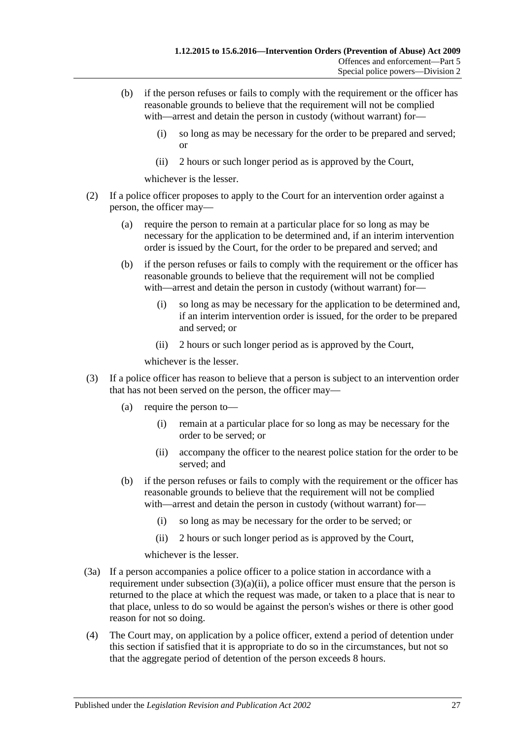- (b) if the person refuses or fails to comply with the requirement or the officer has reasonable grounds to believe that the requirement will not be complied with—arrest and detain the person in custody (without warrant) for—
	- (i) so long as may be necessary for the order to be prepared and served; or
	- (ii) 2 hours or such longer period as is approved by the Court,

whichever is the lesser.

- (2) If a police officer proposes to apply to the Court for an intervention order against a person, the officer may—
	- (a) require the person to remain at a particular place for so long as may be necessary for the application to be determined and, if an interim intervention order is issued by the Court, for the order to be prepared and served; and
	- (b) if the person refuses or fails to comply with the requirement or the officer has reasonable grounds to believe that the requirement will not be complied with—arrest and detain the person in custody (without warrant) for—
		- (i) so long as may be necessary for the application to be determined and, if an interim intervention order is issued, for the order to be prepared and served; or
		- (ii) 2 hours or such longer period as is approved by the Court,

whichever is the lesser.

- <span id="page-26-0"></span>(3) If a police officer has reason to believe that a person is subject to an intervention order that has not been served on the person, the officer may—
	- (a) require the person to—
		- (i) remain at a particular place for so long as may be necessary for the order to be served; or
		- (ii) accompany the officer to the nearest police station for the order to be served; and
	- (b) if the person refuses or fails to comply with the requirement or the officer has reasonable grounds to believe that the requirement will not be complied with—arrest and detain the person in custody (without warrant) for—
		- (i) so long as may be necessary for the order to be served; or
		- (ii) 2 hours or such longer period as is approved by the Court,

whichever is the lesser.

- (3a) If a person accompanies a police officer to a police station in accordance with a requirement under [subsection](#page-26-0)  $(3)(a)(ii)$ , a police officer must ensure that the person is returned to the place at which the request was made, or taken to a place that is near to that place, unless to do so would be against the person's wishes or there is other good reason for not so doing.
- (4) The Court may, on application by a police officer, extend a period of detention under this section if satisfied that it is appropriate to do so in the circumstances, but not so that the aggregate period of detention of the person exceeds 8 hours.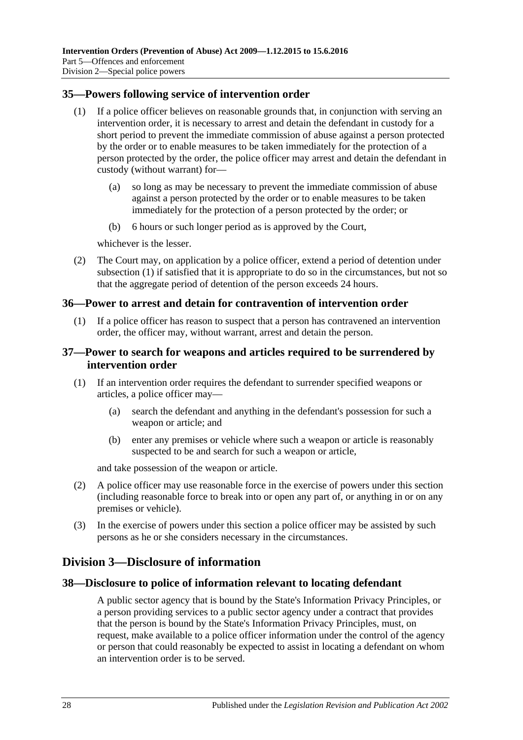#### <span id="page-27-5"></span><span id="page-27-0"></span>**35—Powers following service of intervention order**

- (1) If a police officer believes on reasonable grounds that, in conjunction with serving an intervention order, it is necessary to arrest and detain the defendant in custody for a short period to prevent the immediate commission of abuse against a person protected by the order or to enable measures to be taken immediately for the protection of a person protected by the order, the police officer may arrest and detain the defendant in custody (without warrant) for—
	- (a) so long as may be necessary to prevent the immediate commission of abuse against a person protected by the order or to enable measures to be taken immediately for the protection of a person protected by the order; or
	- (b) 6 hours or such longer period as is approved by the Court,

whichever is the lesser.

(2) The Court may, on application by a police officer, extend a period of detention under [subsection](#page-27-5) (1) if satisfied that it is appropriate to do so in the circumstances, but not so that the aggregate period of detention of the person exceeds 24 hours.

#### <span id="page-27-1"></span>**36—Power to arrest and detain for contravention of intervention order**

(1) If a police officer has reason to suspect that a person has contravened an intervention order, the officer may, without warrant, arrest and detain the person.

#### <span id="page-27-2"></span>**37—Power to search for weapons and articles required to be surrendered by intervention order**

- (1) If an intervention order requires the defendant to surrender specified weapons or articles, a police officer may—
	- (a) search the defendant and anything in the defendant's possession for such a weapon or article; and
	- (b) enter any premises or vehicle where such a weapon or article is reasonably suspected to be and search for such a weapon or article,

and take possession of the weapon or article.

- (2) A police officer may use reasonable force in the exercise of powers under this section (including reasonable force to break into or open any part of, or anything in or on any premises or vehicle).
- (3) In the exercise of powers under this section a police officer may be assisted by such persons as he or she considers necessary in the circumstances.

## <span id="page-27-3"></span>**Division 3—Disclosure of information**

### <span id="page-27-4"></span>**38—Disclosure to police of information relevant to locating defendant**

A public sector agency that is bound by the State's Information Privacy Principles, or a person providing services to a public sector agency under a contract that provides that the person is bound by the State's Information Privacy Principles, must, on request, make available to a police officer information under the control of the agency or person that could reasonably be expected to assist in locating a defendant on whom an intervention order is to be served.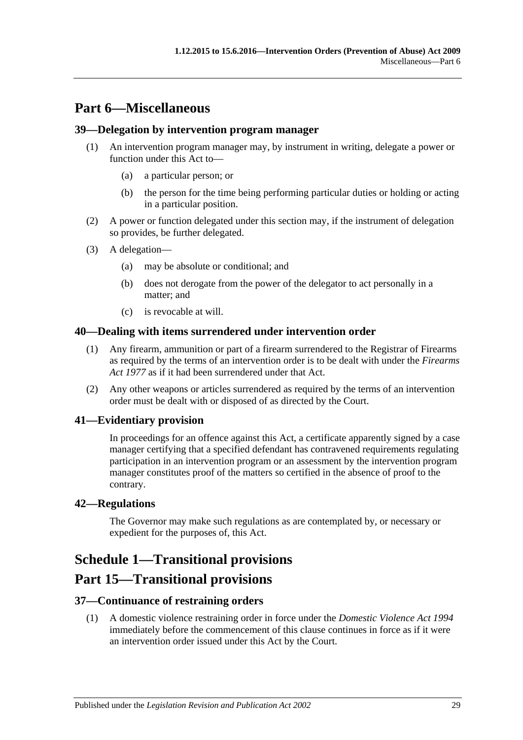# <span id="page-28-0"></span>**Part 6—Miscellaneous**

#### <span id="page-28-1"></span>**39—Delegation by intervention program manager**

- (1) An intervention program manager may, by instrument in writing, delegate a power or function under this Act to—
	- (a) a particular person; or
	- (b) the person for the time being performing particular duties or holding or acting in a particular position.
- (2) A power or function delegated under this section may, if the instrument of delegation so provides, be further delegated.
- (3) A delegation—
	- (a) may be absolute or conditional; and
	- (b) does not derogate from the power of the delegator to act personally in a matter; and
	- (c) is revocable at will.

#### <span id="page-28-2"></span>**40—Dealing with items surrendered under intervention order**

- (1) Any firearm, ammunition or part of a firearm surrendered to the Registrar of Firearms as required by the terms of an intervention order is to be dealt with under the *[Firearms](http://www.legislation.sa.gov.au/index.aspx?action=legref&type=act&legtitle=Firearms%20Act%201977)  Act [1977](http://www.legislation.sa.gov.au/index.aspx?action=legref&type=act&legtitle=Firearms%20Act%201977)* as if it had been surrendered under that Act.
- (2) Any other weapons or articles surrendered as required by the terms of an intervention order must be dealt with or disposed of as directed by the Court.

### <span id="page-28-3"></span>**41—Evidentiary provision**

In proceedings for an offence against this Act, a certificate apparently signed by a case manager certifying that a specified defendant has contravened requirements regulating participation in an intervention program or an assessment by the intervention program manager constitutes proof of the matters so certified in the absence of proof to the contrary.

#### <span id="page-28-4"></span>**42—Regulations**

The Governor may make such regulations as are contemplated by, or necessary or expedient for the purposes of, this Act.

# <span id="page-28-5"></span>**Schedule 1—Transitional provisions**

## **Part 15—Transitional provisions**

### <span id="page-28-6"></span>**37—Continuance of restraining orders**

(1) A domestic violence restraining order in force under the *[Domestic Violence Act](http://www.legislation.sa.gov.au/index.aspx?action=legref&type=act&legtitle=Domestic%20Violence%20Act%201994) 1994* immediately before the commencement of this clause continues in force as if it were an intervention order issued under this Act by the Court.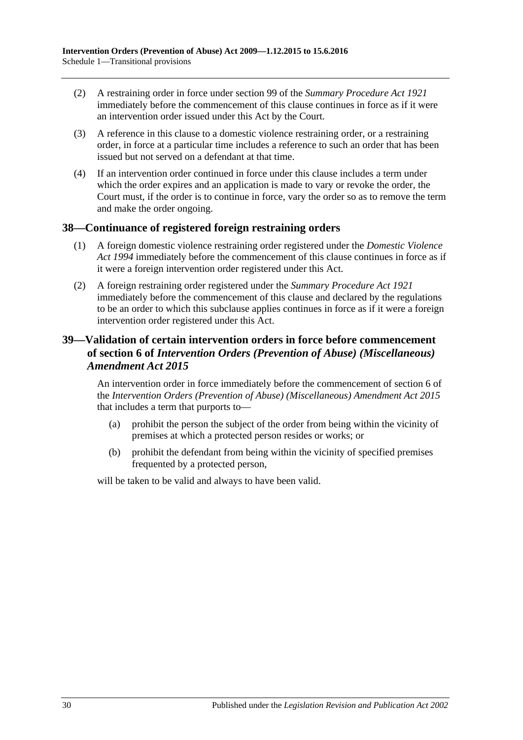- (2) A restraining order in force under section 99 of the *[Summary Procedure Act](http://www.legislation.sa.gov.au/index.aspx?action=legref&type=act&legtitle=Summary%20Procedure%20Act%201921) 1921* immediately before the commencement of this clause continues in force as if it were an intervention order issued under this Act by the Court.
- (3) A reference in this clause to a domestic violence restraining order, or a restraining order, in force at a particular time includes a reference to such an order that has been issued but not served on a defendant at that time.
- (4) If an intervention order continued in force under this clause includes a term under which the order expires and an application is made to vary or revoke the order, the Court must, if the order is to continue in force, vary the order so as to remove the term and make the order ongoing.

### <span id="page-29-0"></span>**38—Continuance of registered foreign restraining orders**

- (1) A foreign domestic violence restraining order registered under the *[Domestic Violence](http://www.legislation.sa.gov.au/index.aspx?action=legref&type=act&legtitle=Domestic%20Violence%20Act%201994)  Act [1994](http://www.legislation.sa.gov.au/index.aspx?action=legref&type=act&legtitle=Domestic%20Violence%20Act%201994)* immediately before the commencement of this clause continues in force as if it were a foreign intervention order registered under this Act.
- (2) A foreign restraining order registered under the *[Summary Procedure Act](http://www.legislation.sa.gov.au/index.aspx?action=legref&type=act&legtitle=Summary%20Procedure%20Act%201921) 1921* immediately before the commencement of this clause and declared by the regulations to be an order to which this subclause applies continues in force as if it were a foreign intervention order registered under this Act.

## <span id="page-29-1"></span>**39—Validation of certain intervention orders in force before commencement of section 6 of** *Intervention Orders (Prevention of Abuse) (Miscellaneous) Amendment Act 2015*

An intervention order in force immediately before the commencement of section 6 of the *[Intervention Orders \(Prevention of Abuse\) \(Miscellaneous\) Amendment Act](http://www.legislation.sa.gov.au/index.aspx?action=legref&type=act&legtitle=Intervention%20Orders%20(Prevention%20of%20Abuse)%20(Miscellaneous)%20Amendment%20Act%202015) 2015* that includes a term that purports to—

- (a) prohibit the person the subject of the order from being within the vicinity of premises at which a protected person resides or works; or
- (b) prohibit the defendant from being within the vicinity of specified premises frequented by a protected person,

will be taken to be valid and always to have been valid.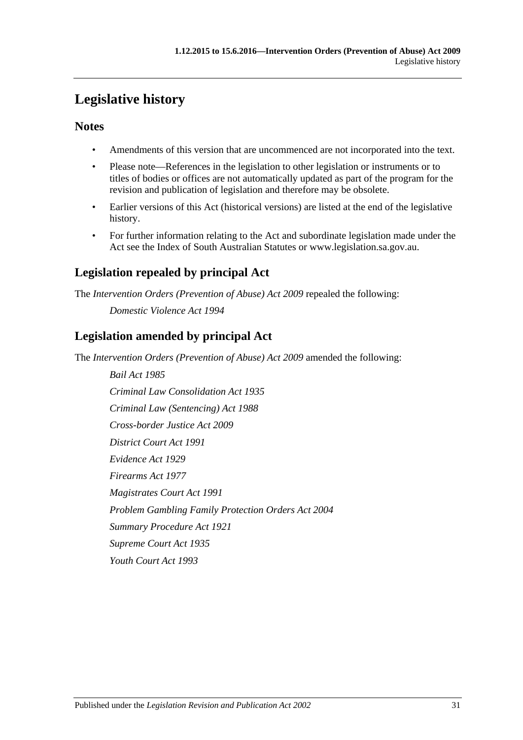# <span id="page-30-0"></span>**Legislative history**

## **Notes**

- Amendments of this version that are uncommenced are not incorporated into the text.
- Please note—References in the legislation to other legislation or instruments or to titles of bodies or offices are not automatically updated as part of the program for the revision and publication of legislation and therefore may be obsolete.
- Earlier versions of this Act (historical versions) are listed at the end of the legislative history.
- For further information relating to the Act and subordinate legislation made under the Act see the Index of South Australian Statutes or www.legislation.sa.gov.au.

# **Legislation repealed by principal Act**

The *Intervention Orders (Prevention of Abuse) Act 2009* repealed the following:

*Domestic Violence Act 1994*

# **Legislation amended by principal Act**

The *Intervention Orders (Prevention of Abuse) Act 2009* amended the following:

*Bail Act 1985 Criminal Law Consolidation Act 1935 Criminal Law (Sentencing) Act 1988 Cross-border Justice Act 2009 District Court Act 1991 Evidence Act 1929 Firearms Act 1977 Magistrates Court Act 1991 Problem Gambling Family Protection Orders Act 2004 Summary Procedure Act 1921 Supreme Court Act 1935 Youth Court Act 1993*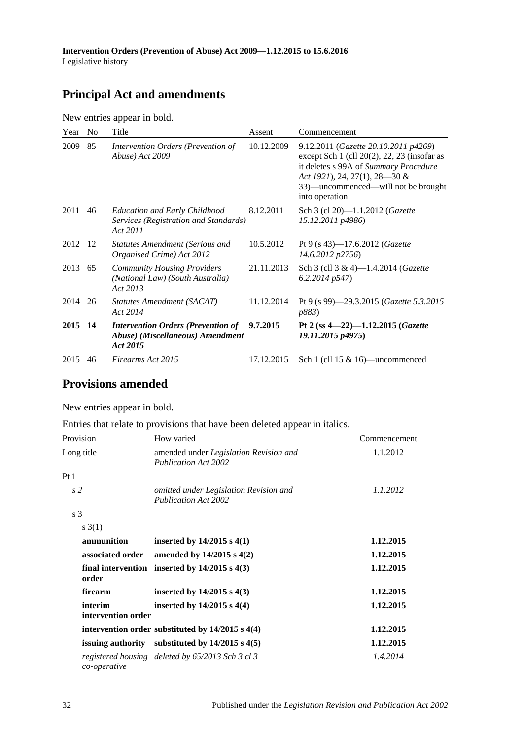# **Principal Act and amendments**

New entries appear in bold.

| Year    | No. | Title                                                                                     | Assent     | Commencement                                                                                                                                                                                                                |
|---------|-----|-------------------------------------------------------------------------------------------|------------|-----------------------------------------------------------------------------------------------------------------------------------------------------------------------------------------------------------------------------|
| 2009    | 85  | Intervention Orders (Prevention of<br>Abuse) Act 2009                                     | 10.12.2009 | 9.12.2011 (Gazette 20.10.2011 p4269)<br>except Sch $1$ (cll $20(2)$ , 22, 23 (insofar as<br>it deletes s 99A of Summary Procedure<br>Act 1921), 24, 27(1), 28–30 &<br>33)—uncommenced—will not be brought<br>into operation |
| 2011    | 46  | <b>Education and Early Childhood</b><br>Services (Registration and Standards)<br>Act 2011 | 8.12.2011  | Sch 3 (cl 20)-1.1.2012 ( <i>Gazette</i><br>15.12.2011 p4986)                                                                                                                                                                |
| 2012 12 |     | <b>Statutes Amendment (Serious and</b><br>Organised Crime) Act 2012                       | 10.5.2012  | Pt 9 (s 43)-17.6.2012 ( <i>Gazette</i><br>14.6.2012 p2756)                                                                                                                                                                  |
| 2013 65 |     | <b>Community Housing Providers</b><br>(National Law) (South Australia)<br>Act 2013        | 21.11.2013 | Sch 3 (cll 3 & 4)-1.4.2014 (Gazette<br>$6.2.2014$ $p547$ )                                                                                                                                                                  |
| 2014 26 |     | Statutes Amendment (SACAT)<br>Act 2014                                                    | 11.12.2014 | Pt 9 (s 99)—29.3.2015 ( <i>Gazette</i> 5.3.2015<br><i>p883</i> )                                                                                                                                                            |
| 2015 14 |     | <b>Intervention Orders (Prevention of</b><br>Abuse) (Miscellaneous) Amendment<br>Act 2015 | 9.7.2015   | Pt 2 (ss $4-22$ )-1.12.2015 (Gazette<br>19.11.2015 p4975)                                                                                                                                                                   |
| 2015    | 46  | Firearms Act 2015                                                                         | 17.12.2015 | Sch 1 (cll $15 \& 16$ )—uncommenced                                                                                                                                                                                         |

# **Provisions amended**

New entries appear in bold.

Entries that relate to provisions that have been deleted appear in italics.

| Provision                     | How varied                                                            | Commencement |  |
|-------------------------------|-----------------------------------------------------------------------|--------------|--|
| Long title                    | amended under Legislation Revision and<br><b>Publication Act 2002</b> | 1.1.2012     |  |
| Pt1                           |                                                                       |              |  |
| s <sub>2</sub>                | omitted under Legislation Revision and<br><b>Publication Act 2002</b> | 1.1.2012     |  |
| s <sub>3</sub>                |                                                                       |              |  |
| s(3(1))                       |                                                                       |              |  |
| ammunition                    | inserted by $14/2015$ s $4(1)$                                        | 1.12.2015    |  |
| associated order              | amended by $14/2015$ s $4(2)$                                         | 1.12.2015    |  |
| order                         | final intervention inserted by $14/2015$ s $4(3)$                     | 1.12.2015    |  |
| firearm                       | inserted by $14/2015$ s $4(3)$                                        | 1.12.2015    |  |
| interim<br>intervention order | inserted by $14/2015$ s $4(4)$                                        | 1.12.2015    |  |
|                               | intervention order substituted by $14/2015$ s $4(4)$                  | 1.12.2015    |  |
|                               | issuing authority substituted by $14/2015$ s $4(5)$                   | 1.12.2015    |  |
| co-operative                  | registered housing deleted by 65/2013 Sch 3 cl 3                      | 1.4.2014     |  |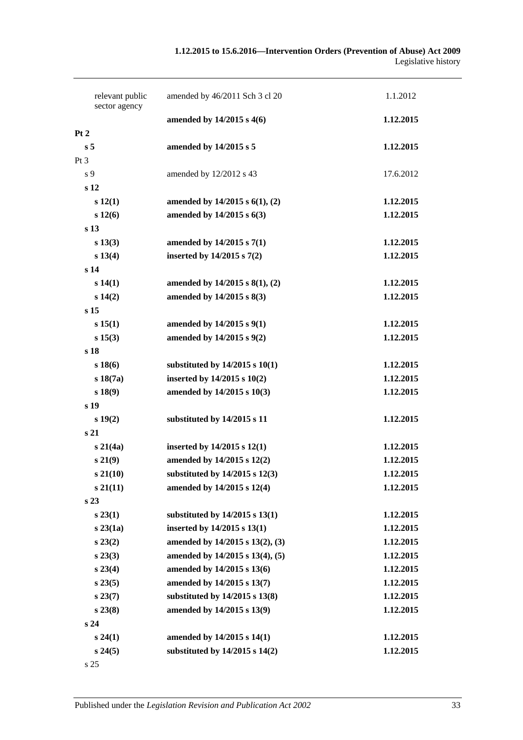|                | relevant public<br>sector agency | amended by 46/2011 Sch 3 cl 20        | 1.1.2012  |
|----------------|----------------------------------|---------------------------------------|-----------|
|                |                                  | amended by 14/2015 s 4(6)             | 1.12.2015 |
| Pt 2           |                                  |                                       |           |
| s <sub>5</sub> |                                  | amended by 14/2015 s 5                | 1.12.2015 |
| Pt 3           |                                  |                                       |           |
| s 9            |                                  | amended by 12/2012 s 43               | 17.6.2012 |
|                | s 12                             |                                       |           |
|                | s 12(1)                          | amended by $14/2015$ s $6(1)$ , $(2)$ | 1.12.2015 |
|                | s 12(6)                          | amended by 14/2015 s 6(3)             | 1.12.2015 |
|                | s <sub>13</sub>                  |                                       |           |
|                | s 13(3)                          | amended by 14/2015 s 7(1)             | 1.12.2015 |
|                | s 13(4)                          | inserted by $14/2015$ s $7(2)$        | 1.12.2015 |
|                | s <sub>14</sub>                  |                                       |           |
|                | s 14(1)                          | amended by 14/2015 s 8(1), (2)        | 1.12.2015 |
|                | s 14(2)                          | amended by 14/2015 s 8(3)             | 1.12.2015 |
|                | s <sub>15</sub>                  |                                       |           |
|                | s 15(1)                          | amended by 14/2015 s 9(1)             | 1.12.2015 |
|                | s 15(3)                          | amended by 14/2015 s 9(2)             | 1.12.2015 |
|                | s 18                             |                                       |           |
|                | s18(6)                           | substituted by $14/2015$ s $10(1)$    | 1.12.2015 |
|                | $s\,18(7a)$                      | inserted by 14/2015 s 10(2)           | 1.12.2015 |
|                | s 18(9)                          | amended by 14/2015 s 10(3)            | 1.12.2015 |
|                | s 19                             |                                       |           |
|                | s 19(2)                          | substituted by 14/2015 s 11           | 1.12.2015 |
|                | s <sub>21</sub>                  |                                       |           |
|                | $s\,21(4a)$                      | inserted by $14/2015$ s $12(1)$       | 1.12.2015 |
|                | s 21(9)                          | amended by 14/2015 s 12(2)            | 1.12.2015 |
|                | $s\,21(10)$                      | substituted by $14/2015$ s $12(3)$    | 1.12.2015 |
|                | $s\,21(11)$                      | amended by 14/2015 s 12(4)            | 1.12.2015 |
|                | s <sub>23</sub>                  |                                       |           |
|                | $s\,23(1)$                       | substituted by $14/2015$ s $13(1)$    | 1.12.2015 |
|                | $s\,23(1a)$                      | inserted by 14/2015 s 13(1)           | 1.12.2015 |
|                | $s\,23(2)$                       | amended by 14/2015 s 13(2), (3)       | 1.12.2015 |
|                | $s\,23(3)$                       | amended by 14/2015 s 13(4), (5)       | 1.12.2015 |
|                | $s\,23(4)$                       | amended by 14/2015 s 13(6)            | 1.12.2015 |
|                | s 23(5)                          | amended by 14/2015 s 13(7)            | 1.12.2015 |
|                | $s\,23(7)$                       | substituted by 14/2015 s 13(8)        | 1.12.2015 |
|                | $s\,23(8)$                       | amended by 14/2015 s 13(9)            | 1.12.2015 |
|                | s 24                             |                                       |           |
|                | s 24(1)                          | amended by 14/2015 s 14(1)            | 1.12.2015 |
|                | s 24(5)                          | substituted by $14/2015$ s $14(2)$    | 1.12.2015 |
|                | s 25                             |                                       |           |